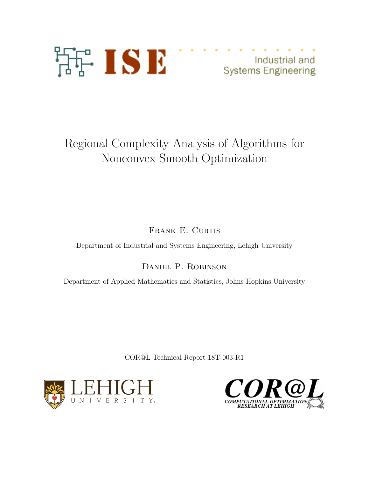

Industrial and **Systems Engineering** 

# Regional Complexity Analysis of Algorithms for Nonconvex Smooth Optimization

FRANK E. CURTIS

Department of Industrial and Systems Engineering, Lehigh University

Daniel P. Robinson

Department of Applied Mathematics and Statistics, Johns Hopkins University

COR@L Technical Report 18T-003-R1



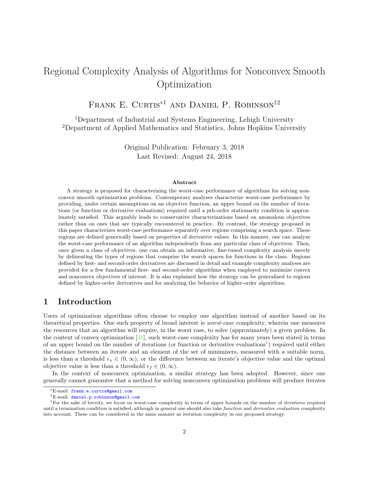## Regional Complexity Analysis of Algorithms for Nonconvex Smooth Optimization

Frank E. Curtis<sup>∗</sup><sup>1</sup> and Daniel P. Robinson†<sup>2</sup>

<sup>1</sup>Department of Industrial and Systems Engineering, Lehigh University <sup>2</sup>Department of Applied Mathematics and Statistics, Johns Hopkins University

> Original Publication: February 3, 2018 Last Revised: August 24, 2018

#### Abstract

A strategy is proposed for characterizing the worst-case performance of algorithms for solving nonconvex smooth optimization problems. Contemporary analyses characterize worst-case performance by providing, under certain assumptions on an objective function, an upper bound on the number of iterations (or function or derivative evaluations) required until a pth-order stationarity condition is approximately satisfied. This arguably leads to conservative characterizations based on anomalous objectives rather than on ones that are typically encountered in practice. By contrast, the strategy proposed in this paper characterizes worst-case performance separately over regions comprising a search space. These regions are defined generically based on properties of derivative values. In this manner, one can analyze the worst-case performance of an algorithm independently from any particular class of objectives. Then, once given a class of objectives, one can obtain an informative, fine-tuned complexity analysis merely by delineating the types of regions that comprise the search spaces for functions in the class. Regions defined by first- and second-order derivatives are discussed in detail and example complexity analyses are provided for a few fundamental first- and second-order algorithms when employed to minimize convex and nonconvex objectives of interest. It is also explained how the strategy can be generalized to regions defined by higher-order derivatives and for analyzing the behavior of higher-order algorithms.

### <span id="page-1-1"></span>1 Introduction

Users of optimization algorithms often choose to employ one algorithm instead of another based on its theoretical properties. One such property of broad interest is worst-case complexity, wherein one measures the resources that an algorithm will require, in the worst case, to solve (approximately) a given problem. In the context of convex optimization  $[31]$ , such worst-case complexity has for many years been stated in terms of an upper bound on the number of iterations (or function or derivative evaluations<sup>[1](#page-1-0)</sup>) required until either the distance between an iterate and an element of the set of minimizers, measured with a suitable norm, is less than a threshold  $\epsilon_x \in (0,\infty)$ , or the difference between an iterate's objective value and the optimal objective value is less than a threshold  $\epsilon_f \in (0,\infty)$ .

In the context of nonconvex optimization, a similar strategy has been adopted. However, since one generally cannot guarantee that a method for solving nonconvex optimization problems will produce iterates

<sup>∗</sup>E-mail: [frank.e.curtis@gmail.com](mailto:frank.e.curtis@gmail.com)

<span id="page-1-0"></span><sup>†</sup>E-mail: [daniel.p.robinson@gmail.com](mailto:daniel.p.robinson@gmail.com)

<sup>&</sup>lt;sup>1</sup>For the sake of brevity, we focus on worst-case complexity in terms of upper bounds on the number of *iterations* required until a termination condition is satisfied, although in general one should also take function and derivative evaluation complexity into account. These can be considered in the same manner as iteration complexity in our proposed strategy.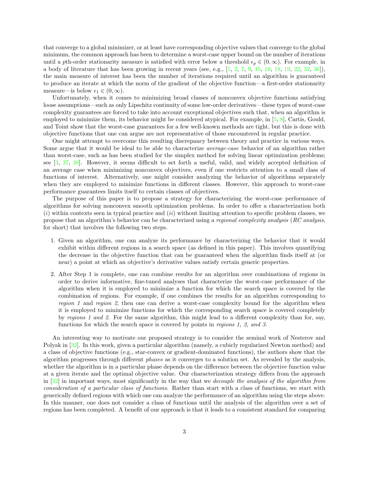that converge to a global minimizer, or at least have corresponding objective values that converge to the global minimum, the common approach has been to determine a worst-case upper bound on the number of iterations until a pth-order stationarity measure is satisfied with error below a threshold  $\epsilon_p \in (0,\infty)$ . For example, in a body of literature that has been growing in recent years (see, e.g.,  $[1, 2, 7, 9, 15, 16, 18, 19, 22, 32, 36]$  $[1, 2, 7, 9, 15, 16, 18, 19, 22, 32, 36]$  $[1, 2, 7, 9, 15, 16, 18, 19, 22, 32, 36]$  $[1, 2, 7, 9, 15, 16, 18, 19, 22, 32, 36]$  $[1, 2, 7, 9, 15, 16, 18, 19, 22, 32, 36]$  $[1, 2, 7, 9, 15, 16, 18, 19, 22, 32, 36]$  $[1, 2, 7, 9, 15, 16, 18, 19, 22, 32, 36]$  $[1, 2, 7, 9, 15, 16, 18, 19, 22, 32, 36]$  $[1, 2, 7, 9, 15, 16, 18, 19, 22, 32, 36]$  $[1, 2, 7, 9, 15, 16, 18, 19, 22, 32, 36]$  $[1, 2, 7, 9, 15, 16, 18, 19, 22, 32, 36]$  $[1, 2, 7, 9, 15, 16, 18, 19, 22, 32, 36]$  $[1, 2, 7, 9, 15, 16, 18, 19, 22, 32, 36]$  $[1, 2, 7, 9, 15, 16, 18, 19, 22, 32, 36]$  $[1, 2, 7, 9, 15, 16, 18, 19, 22, 32, 36]$  $[1, 2, 7, 9, 15, 16, 18, 19, 22, 32, 36]$  $[1, 2, 7, 9, 15, 16, 18, 19, 22, 32, 36]$  $[1, 2, 7, 9, 15, 16, 18, 19, 22, 32, 36]$  $[1, 2, 7, 9, 15, 16, 18, 19, 22, 32, 36]$  $[1, 2, 7, 9, 15, 16, 18, 19, 22, 32, 36]$  $[1, 2, 7, 9, 15, 16, 18, 19, 22, 32, 36]$ ), the main measure of interest has been the number of iterations required until an algorithm is guaranteed to produce an iterate at which the norm of the gradient of the objective function—a first-order stationarity measure—is below  $\epsilon_1 \in (0, \infty)$ .

Unfortunately, when it comes to minimizing broad classes of nonconvex objective functions satisfying loose assumptions—such as only Lipschitz continuity of some low-order derivatives—these types of worst-case complexity guarantees are forced to take into account exceptional objectives such that, when an algorithm is employed to minimize them, its behavior might be considered atypical. For example, in [\[5,](#page-27-2) [8\]](#page-28-7), Cartis, Gould, and Toint show that the worst-case guarantees for a few well-known methods are tight, but this is done with objective functions that one can argue are not representative of those encountered in regular practice.

One might attempt to overcome this resulting discrepancy between theory and practice in various ways. Some argue that it would be ideal to be able to characterize average-case behavior of an algorithm rather than worst-case, such as has been studied for the simplex method for solving linear optimization problems; see [\[3,](#page-27-3) [37,](#page-29-3) [38\]](#page-29-4). However, it seems difficult to set forth a useful, valid, and widely accepted definition of an average case when minimizing nonconvex objectives, even if one restricts attention to a small class of functions of interest. Alternatively, one might consider analyzing the behavior of algorithms separately when they are employed to minimize functions in different classes. However, this approach to worst-case performance guarantees limits itself to certain classes of objectives.

The purpose of this paper is to propose a strategy for characterizing the worst-case performance of algorithms for solving nonconvex smooth optimization problems. In order to offer a characterization both  $(i)$  within contexts seen in typical practice and  $(ii)$  without limiting attention to specific problem classes, we propose that an algorithm's behavior can be characterized using a regional complexity analysis (RC analysis, for short) that involves the following two steps.

- 1. Given an algorithm, one can analyze its performance by characterizing the behavior that it would exhibit within different regions in a search space (as defined in this paper). This involves quantifying the decrease in the objective function that can be guaranteed when the algorithm finds itself at (or near) a point at which an objective's derivative values satisfy certain generic properties.
- 2. After Step 1 is complete, one can combine results for an algorithm over combinations of regions in order to derive informative, fine-tuned analyses that characterize the worst-case performance of the algorithm when it is employed to minimize a function for which the search space is covered by the combination of regions. For example, if one combines the results for an algorithm corresponding to region 1 and region 2, then one can derive a worst-case complexity bound for the algorithm when it is employed to minimize functions for which the corresponding search space is covered completely by regions 1 and 2. For the same algorithm, this might lead to a different complexity than for, say, functions for which the search space is covered by points in regions 1, 2, and 3.

An interesting way to motivate our proposed strategy is to consider the seminal work of Nesterov and Polyak in [\[32\]](#page-29-1). In this work, given a particular algorithm (namely, a cubicly regularized Newton method) and a class of objective functions (e.g., star-convex or gradient-dominated functions), the authors show that the algorithm progresses through different phases as it converges to a solution set. As revealed by the analysis, whether the algorithm is in a particular phase depends on the difference between the objective function value at a given iterate and the optimal objective value. Our characterization strategy differs from the approach in [\[32\]](#page-29-1) in important ways, most significantly in the way that we decouple the analysis of the algorithm from consideration of a particular class of functions. Rather than start with a class of functions, we start with generically defined regions with which one can analyze the performance of an algorithm using the steps above. In this manner, one does not consider a class of functions until the analysis of the algorithm over a set of regions has been completed. A benefit of our approach is that it leads to a consistent standard for comparing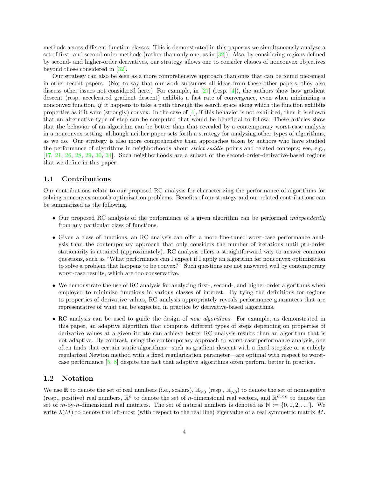methods across different function classes. This is demonstrated in this paper as we simultaneously analyze a set of first- and second-order methods (rather than only one, as in [\[32\]](#page-29-1)). Also, by considering regions defined by second- and higher-order derivatives, our strategy allows one to consider classes of nonconvex objectives beyond those considered in [\[32\]](#page-29-1).

Our strategy can also be seen as a more comprehensive approach than ones that can be found piecemeal in other recent papers. (Not to say that our work subsumes all ideas from these other papers; they also discuss other issues not considered here.) For example, in [\[27\]](#page-29-5) (resp. [\[4\]](#page-27-4)), the authors show how gradient descent (resp. accelerated gradient descent) exhibits a fast rate of convergence, even when minimizing a nonconvex function, if it happens to take a path through the search space along which the function exhibits properties as if it were (strongly) convex. In the case of  $[4]$ , if this behavior is not exhibited, then it is shown that an alternative type of step can be computed that would be beneficial to follow. These articles show that the behavior of an algorithm can be better than that revealed by a contemporary worst-case analysis in a nonconvex setting, although neither paper sets forth a strategy for analyzing other types of algorithms, as we do. Our strategy is also more comprehensive than approaches taken by authors who have studied the performance of algorithms in neighborhoods about *strict saddle* points and related concepts; see, e.g., [\[17,](#page-28-8) [21,](#page-28-9) [26,](#page-29-6) [28,](#page-29-7) [29,](#page-29-8) [30,](#page-29-9) [34\]](#page-29-10). Such neighborhoods are a subset of the second-order-derivative-based regions that we define in this paper.

#### 1.1 Contributions

Our contributions relate to our proposed RC analysis for characterizing the performance of algorithms for solving nonconvex smooth optimization problems. Benefits of our strategy and our related contributions can be summarized as the following.

- Our proposed RC analysis of the performance of a given algorithm can be performed *independently* from any particular class of functions.
- Given a class of functions, an RC analysis can offer a more fine-tuned worst-case performance analysis than the contemporary approach that only considers the number of iterations until pth-order stationarity is attained (approximately). RC analysis offers a straightforward way to answer common questions, such as "What performance can I expect if I apply an algorithm for nonconvex optimization to solve a problem that happens to be convex?" Such questions are not answered well by contemporary worst-case results, which are too conservative.
- We demonstrate the use of RC analysis for analyzing first-, second-, and higher-order algorithms when employed to minimize functions in various classes of interest. By tying the definitions for regions to properties of derivative values, RC analysis appropriately reveals performance guarantees that are representative of what can be expected in practice by derivative-based algorithms.
- RC analysis can be used to guide the design of *new algorithms*. For example, as demonstrated in this paper, an adaptive algorithm that computes different types of steps depending on properties of derivative values at a given iterate can achieve better RC analysis results than an algorithm that is not adaptive. By contrast, using the contemporary approach to worst-case performance analysis, one often finds that certain static algorithms—such as gradient descent with a fixed stepsize or a cubicly regularized Newton method with a fixed regularization parameter—are optimal with respect to worstcase performance [\[5,](#page-27-2) [8\]](#page-28-7) despite the fact that adaptive algorithms often perform better in practice.

#### 1.2 Notation

We use  $\mathbb R$  to denote the set of real numbers (i.e., scalars),  $\mathbb R_{\geq 0}$  (resp.,  $\mathbb R_{>0}$ ) to denote the set of nonnegative (resp., positive) real numbers,  $\mathbb{R}^n$  to denote the set of *n*-dimensional real vectors, and  $\mathbb{R}^{m \times n}$  to denote the set of m-by-n-dimensional real matrices. The set of natural numbers is denoted as  $\mathbb{N} := \{0, 1, 2, \ldots\}$ . We write  $\lambda(M)$  to denote the left-most (with respect to the real line) eigenvalue of a real symmetric matrix M.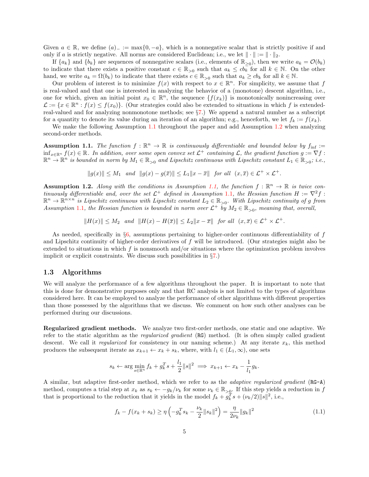Given  $a \in \mathbb{R}$ , we define  $(a)$ <sub>−</sub> := max{0, -a}, which is a nonnegative scalar that is strictly positive if and only if a is strictly negative. All norms are considered Euclidean; i.e., we let  $\|\cdot\| := \|\cdot\|_2$ .

If  $\{a_k\}$  and  $\{b_k\}$  are sequences of nonnegative scalars (i.e., elements of  $\mathbb{R}_{\geq 0}$ ), then we write  $a_k = \mathcal{O}(b_k)$ to indicate that there exists a positive constant  $c \in \mathbb{R}_{>0}$  such that  $a_k \leq cb_k^{-\epsilon}$  for all  $k \in \mathbb{N}$ . On the other hand, we write  $a_k = \Omega(b_k)$  to indicate that there exists  $c \in \mathbb{R}_{>0}$  such that  $a_k \geq cb_k$  for all  $k \in \mathbb{N}$ .

Our problem of interest is to minimize  $f(x)$  with respect to  $x \in \mathbb{R}^n$ . For simplicity, we assume that f is real-valued and that one is interested in analyzing the behavior of a (monotone) descent algorithm, i.e., one for which, given an initial point  $x_0 \in \mathbb{R}^n$ , the sequence  $\{f(x_k)\}\$ is monotonically nonincreasing over  $\mathcal{L} := \{x \in \mathbb{R}^n : f(x) \leq f(x_0)\}.$  (Our strategies could also be extended to situations in which f is extendedreal-valued and for analyzing nonmonotone methods; see §[7.](#page-27-5)) We append a natural number as a subscript for a quantity to denote its value during an iteration of an algorithm; e.g., henceforth, we let  $f_k := f(x_k)$ .

We make the following Assumption [1.1](#page-4-0) throughout the paper and add Assumption [1.2](#page-4-1) when analyzing second-order methods.

<span id="page-4-0"></span>**Assumption 1.1.** The function  $f : \mathbb{R}^n \to \mathbb{R}$  is continuously differentiable and bounded below by  $f_{\text{inf}} :=$  $\inf_{x\in\mathbb{R}^n} f(x) \in \mathbb{R}$ . In addition, over some open convex set  $\mathcal{L}^+$  containing  $\mathcal{L}$ , the gradient function  $g := \nabla f$ :  $\mathbb{R}^n \to \mathbb{R}^n$  is bounded in norm by  $M_1 \in \mathbb{R}_{>0}$  and Lipschitz continuous with Lipschitz constant  $L_1 \in \mathbb{R}_{>0}$ ; i.e.,

 $||g(x)|| \leq M_1$  and  $||g(x) - g(\overline{x})|| \leq L_1 ||x - \overline{x}||$  for all  $(x, \overline{x}) \in \mathcal{L}^+ \times \mathcal{L}^+$ .

<span id="page-4-1"></span>**Assumption 1.2.** Along with the conditions in Assumption [1.1,](#page-4-0) the function  $f : \mathbb{R}^n \to \mathbb{R}$  is twice continuously differentiable and, over the set  $\mathcal{L}^+$  defined in Assumption [1](#page-4-0).1, the Hessian function  $H := \nabla^2 f$ :  $\mathbb{R}^n \to \mathbb{R}^{n \times n}$  is Lipschitz continuous with Lipschitz constant  $L_2 \in \mathbb{R}_{>0}$ . With Lipschitz continuity of g from Assumption [1](#page-4-0).1, the Hessian function is bounded in norm over  $\mathcal{L}^+$  by  $M_2 \in \mathbb{R}_{>0}$ , meaning that, overall,

$$
||H(x)|| \le M_2 \quad and \quad ||H(x) - H(\overline{x})|| \le L_2 ||x - \overline{x}|| \quad for \quad all \quad (x, \overline{x}) \in \mathcal{L}^+ \times \mathcal{L}^+.
$$

As needed, specifically in  $\S6$ , assumptions pertaining to higher-order continuous differentiability of f and Lipschitz continuity of higher-order derivatives of f will be introduced. (Our strategies might also be extended to situations in which f is nonsmooth and/or situations where the optimization problem involves implicit or explicit constraints. We discuss such possibilities in §[7.](#page-27-5))

#### <span id="page-4-3"></span>1.3 Algorithms

We will analyze the performance of a few algorithms throughout the paper. It is important to note that this is done for demonstrative purposes only and that RC analysis is not limited to the types of algorithms considered here. It can be employed to analyze the performance of other algorithms with different properties than those possessed by the algorithms that we discuss. We comment on how such other analyses can be performed during our discussions.

Regularized gradient methods. We analyze two first-order methods, one static and one adaptive. We refer to the static algorithm as the regularized gradient (RG) method. (It is often simply called gradient descent. We call it *regularized* for consistency in our naming scheme.) At any iterate  $x_k$ , this method produces the subsequent iterate as  $x_{k+1} \leftarrow x_k + s_k$ , where, with  $l_1 \in (L_1, \infty)$ , one sets

$$
s_k \leftarrow \arg\min_{s \in \mathbb{R}^n} f_k + g_k^T s + \frac{l_1}{2} ||s||^2 \implies x_{k+1} \leftarrow x_k - \frac{1}{l_1} g_k.
$$

A similar, but adaptive first-order method, which we refer to as the adaptive regularized gradient (RG-A) method, computes a trial step at  $x_k$  as  $s_k \leftarrow -g_k/\nu_k$  for some  $\nu_k \in \mathbb{R}_{>0}$ . If this step yields a reduction in f that is proportional to the reduction that it yields in the model  $f_k + g_k^T s + (\nu_k/2) ||s||^2$ , i.e.,

<span id="page-4-2"></span>
$$
f_k - f(x_k + s_k) \ge \eta \left( -g_k^T s_k - \frac{\nu_k}{2} \|s_k\|^2 \right) = \frac{\eta}{2\nu_k} \|g_k\|^2 \tag{1.1}
$$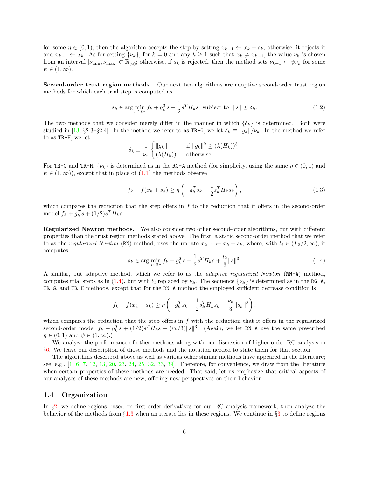for some  $\eta \in (0,1)$ , then the algorithm accepts the step by setting  $x_{k+1} \leftarrow x_k + s_k$ ; otherwise, it rejects it and  $x_{k+1} \leftarrow x_k$ . As for setting  $\{\nu_k\}$ , for  $k = 0$  and any  $k \geq 1$  such that  $x_k \neq x_{k-1}$ , the value  $\nu_k$  is chosen from an interval  $[\nu_{\min}, \nu_{\max}] \subset \mathbb{R}_{>0}$ ; otherwise, if  $s_k$  is rejected, then the method sets  $\nu_{k+1} \leftarrow \psi \nu_k$  for some  $\psi \in (1,\infty).$ 

Second-order trust region methods. Our next two algorithms are adaptive second-order trust region methods for which each trial step is computed as

$$
s_k \in \arg\min_{s \in \mathbb{R}^n} f_k + g_k^T s + \frac{1}{2} s^T H_k s \text{ subject to } ||s|| \le \delta_k. \tag{1.2}
$$

The two methods that we consider merely differ in the manner in which  $\{\delta_k\}$  is determined. Both were studied in [\[13,](#page-28-10) §2.3–§2.4]. In the method we refer to as TR-G, we let  $\delta_k \equiv ||g_k||/\nu_k$ . In the method we refer to as TR-H, we let

$$
\delta_k \equiv \frac{1}{\nu_k} \begin{cases} ||g_k|| & \text{if } ||g_k||^2 \ge (\lambda(H_k))^2 \\ (\lambda(H_k))_{-} & \text{otherwise.} \end{cases}
$$

For TR-G and TR-H,  $\{\nu_k\}$  is determined as in the RG-A method (for simplicity, using the same  $\eta \in (0,1)$  and  $\psi \in (1,\infty)$ , except that in place of  $(1.1)$  the methods observe

$$
f_k - f(x_k + s_k) \ge \eta \left( -g_k^T s_k - \frac{1}{2} s_k^T H_k s_k \right),
$$
\n(1.3)

which compares the reduction that the step offers in  $f$  to the reduction that it offers in the second-order model  $f_k + g_k^T s + (1/2)s^T H_k s$ .

Regularized Newton methods. We also consider two other second-order algorithms, but with different properties than the trust region methods stated above. The first, a static second-order method that we refer to as the regularized Newton (RN) method, uses the update  $x_{k+1} \leftarrow x_k + s_k$ , where, with  $l_2 \in (L_2/2, \infty)$ , it computes

<span id="page-5-0"></span>
$$
s_k \in \arg\min_{s \in \mathbb{R}^n} f_k + g_k^T s + \frac{1}{2} s^T H_k s + \frac{l_2}{3} ||s||^3. \tag{1.4}
$$

A similar, but adaptive method, which we refer to as the adaptive regularized Newton (RN-A) method, computes trial steps as in [\(1.4\)](#page-5-0), but with  $l_2$  replaced by  $\nu_k$ . The sequence  $\{\nu_k\}$  is determined as in the RG-A, TR-G, and TR-H methods, except that for the RN-A method the employed sufficient decrease condition is

$$
f_k - f(x_k + s_k) \ge \eta \left( -g_k^T s_k - \frac{1}{2} s_k^T H_k s_k - \frac{\nu_k}{3} ||s_k||^3 \right),
$$

which compares the reduction that the step offers in  $f$  with the reduction that it offers in the regularized second-order model  $f_k + g_k^T s + (1/2)s^T H_k s + (\nu_k/3) ||s||^3$ . (Again, we let RN-A use the same prescribed  $\eta \in (0,1)$  and  $\psi \in (1,\infty)$ .)

We analyze the performance of other methods along with our discussion of higher-order RC analysis in §[6.](#page-22-0) We leave our description of those methods and the notation needed to state them for that section.

The algorithms described above as well as various other similar methods have appeared in the literature; see, e.g.,  $[1, 6, 7, 12, 13, 20, 23, 24, 25, 32, 33, 39]$  $[1, 6, 7, 12, 13, 20, 23, 24, 25, 32, 33, 39]$  $[1, 6, 7, 12, 13, 20, 23, 24, 25, 32, 33, 39]$  $[1, 6, 7, 12, 13, 20, 23, 24, 25, 32, 33, 39]$  $[1, 6, 7, 12, 13, 20, 23, 24, 25, 32, 33, 39]$  $[1, 6, 7, 12, 13, 20, 23, 24, 25, 32, 33, 39]$  $[1, 6, 7, 12, 13, 20, 23, 24, 25, 32, 33, 39]$  $[1, 6, 7, 12, 13, 20, 23, 24, 25, 32, 33, 39]$  $[1, 6, 7, 12, 13, 20, 23, 24, 25, 32, 33, 39]$  $[1, 6, 7, 12, 13, 20, 23, 24, 25, 32, 33, 39]$  $[1, 6, 7, 12, 13, 20, 23, 24, 25, 32, 33, 39]$  $[1, 6, 7, 12, 13, 20, 23, 24, 25, 32, 33, 39]$  $[1, 6, 7, 12, 13, 20, 23, 24, 25, 32, 33, 39]$  $[1, 6, 7, 12, 13, 20, 23, 24, 25, 32, 33, 39]$  $[1, 6, 7, 12, 13, 20, 23, 24, 25, 32, 33, 39]$  $[1, 6, 7, 12, 13, 20, 23, 24, 25, 32, 33, 39]$  $[1, 6, 7, 12, 13, 20, 23, 24, 25, 32, 33, 39]$  $[1, 6, 7, 12, 13, 20, 23, 24, 25, 32, 33, 39]$  $[1, 6, 7, 12, 13, 20, 23, 24, 25, 32, 33, 39]$  $[1, 6, 7, 12, 13, 20, 23, 24, 25, 32, 33, 39]$  $[1, 6, 7, 12, 13, 20, 23, 24, 25, 32, 33, 39]$  $[1, 6, 7, 12, 13, 20, 23, 24, 25, 32, 33, 39]$  $[1, 6, 7, 12, 13, 20, 23, 24, 25, 32, 33, 39]$ . Therefore, for convenience, we draw from the literature when certain properties of these methods are needed. That said, let us emphasize that critical aspects of our analyses of these methods are new, offering new perspectives on their behavior.

#### 1.4 Organization

In §[2,](#page-6-0) we define regions based on first-order derivatives for our RC analysis framework, then analyze the behavior of the methods from §[1.3](#page-4-3) when an iterate lies in these regions. We continue in §[3](#page-11-0) to define regions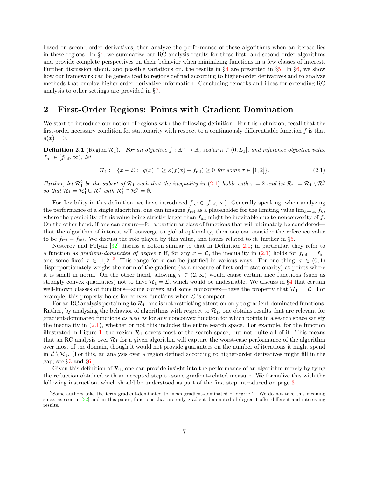based on second-order derivatives, then analyze the performance of these algorithms when an iterate lies in these regions. In §[4,](#page-14-0) we summarize our RC analysis results for these first- and second-order algorithms and provide complete perspectives on their behavior when minimizing functions in a few classes of interest. Further discussion about, and possible variations on, the results in  $\S 4$  $\S 4$  are presented in  $\S 5$ . In  $\S 6$ , we show how our framework can be generalized to regions defined according to higher-order derivatives and to analyze methods that employ higher-order derivative information. Concluding remarks and ideas for extending RC analysis to other settings are provided in §[7.](#page-27-5)

## <span id="page-6-0"></span>2 First-Order Regions: Points with Gradient Domination

We start to introduce our notion of regions with the following definition. For this definition, recall that the first-order necessary condition for stationarity with respect to a continuously differentiable function  $f$  is that  $g(x) = 0.$ 

<span id="page-6-2"></span>**Definition 2.1** (Region  $\mathcal{R}_1$ ). For an objective  $f : \mathbb{R}^n \to \mathbb{R}$ , scalar  $\kappa \in (0, L_1]$ , and reference objective value  $f_{\text{ref}} \in [f_{\text{inf}}, \infty)$ , let

<span id="page-6-1"></span>
$$
\mathcal{R}_1 := \{ x \in \mathcal{L} : \|g(x)\|^{\tau} \ge \kappa(f(x) - f_{\text{ref}}) \ge 0 \text{ for some } \tau \in [1, 2] \}. \tag{2.1}
$$

Further, let  $\mathcal{R}_1^2$  be the subset of  $\mathcal{R}_1$  such that the inequality in [\(2.1\)](#page-6-1) holds with  $\tau = 2$  and let  $\mathcal{R}_1^1 := \mathcal{R}_1 \setminus \mathcal{R}_1^2$  so that  $\mathcal{R}_1 = \mathcal{R}_1^1 \cup \mathcal{R}_1^2$  with  $\mathcal{R}_1^1 \cap \mathcal{R}_1^2 = \emptyset$ .

For flexibility in this definition, we have introduced  $f_{ref} \in [f_{inf}, \infty)$ . Generally speaking, when analyzing the performance of a single algorithm, one can imagine  $f_{ref}$  as a placeholder for the limiting value lim $_{k\to\infty} f_k$ , where the possibility of this value being strictly larger than  $f_{\text{inf}}$  might be inevitable due to nonconvexity of f. On the other hand, if one can ensure—for a particular class of functions that will ultimately be considered that the algorithm of interest will converge to global optimality, then one can consider the reference value to be  $f_{\text{ref}} = f_{\text{inf}}$ . We discuss the role played by this value, and issues related to it, further in §[5.](#page-21-0)

Nesterov and Polyak [\[32\]](#page-29-1) discuss a notion similar to that in Definition [2.1;](#page-6-2) in particular, they refer to a function as gradient-dominated of degree  $\tau$  if, for any  $x \in \mathcal{L}$ , the inequality in [\(2.1\)](#page-6-1) holds for  $f_{\text{ref}} = f_{\text{inf}}$ and some fixed  $\tau \in [1, 2]^2$  $\tau \in [1, 2]^2$  $\tau \in [1, 2]^2$ . This range for  $\tau$  can be justified in various ways. For one thing,  $\tau \in (0, 1)$ disproportionately weighs the norm of the gradient (as a measure of first-order stationarity) at points where it is small in norm. On the other hand, allowing  $\tau \in (2,\infty)$  would cause certain nice functions (such as strongly convex quadratics) not to have  $\mathcal{R}_1 = \mathcal{L}$ , which would be undesirable. We discuss in §[4](#page-14-0) that certain well-known classes of functions—some convex and some nonconvex—have the property that  $\mathcal{R}_1 = \mathcal{L}$ . For example, this property holds for convex functions when  $\mathcal L$  is compact.

For an RC analysis pertaining to  $\mathcal{R}_1$ , one is not restricting attention only to gradient-dominated functions. Rather, by analyzing the behavior of algorithms with respect to  $\mathcal{R}_1$ , one obtains results that are relevant for gradient-dominated functions as well as for any nonconvex function for which points in a search space satisfy the inequality in  $(2.1)$ , whether or not this includes the entire search space. For example, for the function illustrated in Figure [1,](#page-7-0) the region  $\mathcal{R}_1$  covers most of the search space, but not quite all of it. This means that an RC analysis over  $\mathcal{R}_1$  for a given algorithm will capture the worst-case performance of the algorithm over most of the domain, though it would not provide guarantees on the number of iterations it might spend in  $\mathcal{L} \setminus \mathcal{R}_1$ . (For this, an analysis over a region defined according to higher-order derivatives might fill in the gap; see  $\S3$  $\S3$  and  $\S6$ .)

Given this definition of  $\mathcal{R}_1$ , one can provide insight into the performance of an algorithm merely by tying the reduction obtained with an accepted step to some gradient-related measure. We formalize this with the following instruction, which should be understood as part of the first step introduced on page [3.](#page-1-1)

<span id="page-6-3"></span><sup>2</sup>Some authors take the term gradient-dominated to mean gradient-dominated of degree 2. We do not take this meaning since, as seen in [\[32\]](#page-29-1) and in this paper, functions that are only gradient-dominated of degree 1 offer different and interesting results.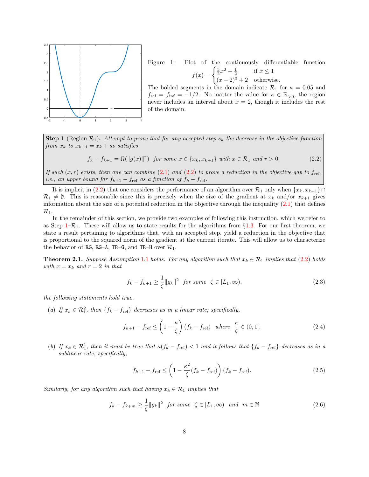

<span id="page-7-0"></span>Figure 1: Plot of the continuously differentiable function  $f(x) = \begin{cases} \frac{3}{2}x^2 - \frac{1}{2} & \text{if } x \leq 1 \\ 0 & \text{otherwise} \end{cases}$  $(x-2)^3+2$  otherwise.

The bolded segments in the domain indicate  $\mathcal{R}_1$  for  $\kappa = 0.05$  and  $f_{\text{ref}} = f_{\text{inf}} = -1/2$ . No matter the value for  $\kappa \in \mathbb{R}_{>0}$ , the region never includes an interval about  $x = 2$ , though it includes the rest of the domain.

<span id="page-7-2"></span>**Step 1** (Region  $\mathcal{R}_1$ ). Attempt to prove that for any accepted step  $s_k$  the decrease in the objective function from  $x_k$  to  $x_{k+1} = x_k + s_k$  satisfies

<span id="page-7-1"></span>
$$
f_k - f_{k+1} = \Omega(\|g(x)\|^r) \text{ for some } x \in \{x_k, x_{k+1}\} \text{ with } x \in \mathcal{R}_1 \text{ and } r > 0. \tag{2.2}
$$

If such  $(x, r)$  exists, then one can combine [\(2.1\)](#page-6-1) and [\(2.2\)](#page-7-1) to prove a reduction in the objective gap to  $f_{ref}$ , i.e., an upper bound for  $f_{k+1} - f_{ref}$  as a function of  $f_k - f_{ref}$ .

It is implicit in [\(2.2\)](#page-7-1) that one considers the performance of an algorithm over  $\mathcal{R}_1$  only when  $\{x_k, x_{k+1}\}\cap$  $\mathcal{R}_1 \neq \emptyset$ . This is reasonable since this is precisely when the size of the gradient at  $x_k$  and/or  $x_{k+1}$  gives information about the size of a potential reduction in the objective through the inequality  $(2.1)$  that defines  $\mathcal{R}_1$ .

In the remainder of this section, we provide two examples of following this instruction, which we refer to as Step  $1-\mathcal{R}_1$ . These will allow us to state results for the algorithms from §[1.3.](#page-4-3) For our first theorem, we state a result pertaining to algorithms that, with an accepted step, yield a reduction in the objective that is proportional to the squared norm of the gradient at the current iterate. This will allow us to characterize the behavior of RG, RG-A, TR-G, and TR-H over  $\mathcal{R}_1$ .

<span id="page-7-7"></span>**Theorem 2.[1](#page-4-0).** Suppose Assumption 1.1 holds. For any algorithm such that  $x_k \in \mathcal{R}_1$  implies that [\(2.2\)](#page-7-1) holds with  $x = x_k$  and  $r = 2$  in that

<span id="page-7-3"></span>
$$
f_k - f_{k+1} \ge \frac{1}{\zeta} \|g_k\|^2 \quad \text{for some} \quad \zeta \in [L_1, \infty), \tag{2.3}
$$

the following statements hold true.

(a) If  $x_k \in \mathcal{R}_1^2$ , then  $\{f_k - f_{\text{ref}}\}$  decreases as in a linear rate; specifically,

<span id="page-7-4"></span>
$$
f_{k+1} - f_{\text{ref}} \le \left(1 - \frac{\kappa}{\zeta}\right)(f_k - f_{\text{ref}}) \quad \text{where} \quad \frac{\kappa}{\zeta} \in (0, 1]. \tag{2.4}
$$

(b) If  $x_k \in \mathcal{R}_1^1$ , then it must be true that  $\kappa(f_k - f_{\text{ref}}) < 1$  and it follows that  $\{f_k - f_{\text{ref}}\}$  decreases as in a sublinear rate; specifically,

<span id="page-7-5"></span>
$$
f_{k+1} - f_{\text{ref}} \le \left(1 - \frac{\kappa^2}{\zeta} (f_k - f_{\text{ref}})\right) (f_k - f_{\text{ref}}). \tag{2.5}
$$

Similarly, for any algorithm such that having  $x_k \in \mathcal{R}_1$  implies that

<span id="page-7-6"></span>
$$
f_k - f_{k+m} \ge \frac{1}{\zeta} \|g_k\|^2 \quad \text{for some} \quad \zeta \in [L_1, \infty) \quad \text{and} \quad m \in \mathbb{N} \tag{2.6}
$$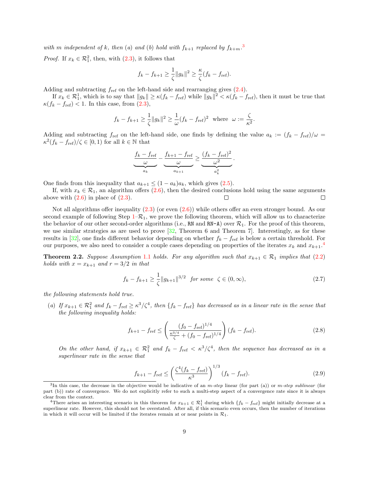with m independent of k, then (a) and (b) hold with  $f_{k+1}$  replaced by  $f_{k+m}$ .

*Proof.* If  $x_k \in \mathcal{R}_1^2$ , then, with  $(2.3)$ , it follows that

$$
f_k - f_{k+1} \ge \frac{1}{\zeta} \|g_k\|^2 \ge \frac{\kappa}{\zeta} (f_k - f_{\text{ref}}).
$$

Adding and subtracting  $f_{ref}$  on the left-hand side and rearranging gives  $(2.4)$ .

If  $x_k \in \mathcal{R}_1^1$ , which is to say that  $||g_k|| \ge \kappa (f_k - f_{\text{ref}})$  while  $||g_k||^2 < \kappa (f_k - f_{\text{ref}})$ , then it must be true that  $\kappa(f_k - f_{\text{ref}}) < 1$ . In this case, from  $(2.3)$ ,

$$
f_k - f_{k+1} \ge \frac{1}{\zeta} ||g_k||^2 \ge \frac{1}{\omega} (f_k - f_{\text{ref}})^2
$$
 where  $\omega := \frac{\zeta}{\kappa^2}$ .

Adding and subtracting  $f_{ref}$  on the left-hand side, one finds by defining the value  $a_k := (f_k - f_{ref})/\omega$  $\kappa^2(f_k - f_{\text{ref}})/\zeta \in [0,1)$  for all  $k \in \mathbb{N}$  that

$$
\underbrace{\frac{f_k - f_{\text{ref}}}{\omega}}_{a_k} - \underbrace{\frac{f_{k+1} - f_{\text{ref}}}{\omega}}_{a_{k+1}} \ge \underbrace{\frac{(f_k - f_{\text{ref}})^2}{\omega^2}}_{a_k^2}
$$

One finds from this inequality that  $a_{k+1} \leq (1 - a_k)a_k$ , which gives [\(2.5\)](#page-7-5).

If, with  $x_k \in \mathcal{R}_1$ , an algorithm offers [\(2.6\)](#page-7-6), then the desired conclusions hold using the same arguments above with  $(2.6)$  in place of  $(2.3)$ . П  $\Box$ 

Not all algorithms offer inequality  $(2.3)$  (or even  $(2.6)$ ) while others offer an even stronger bound. As our second example of following Step  $1-\mathcal{R}_1$ , we prove the following theorem, which will allow us to characterize the behavior of our other second-order algorithms (i.e., RN and RN-A) over  $\mathcal{R}_1$ . For the proof of this theorem, we use similar strategies as are used to prove  $[32,$  Theorem 6 and Theorem 7. Interestingly, as for these results in [\[32\]](#page-29-1), one finds different behavior depending on whether  $f_k - f_{\text{ref}}$  is below a certain threshold. For our purposes, we also need to consider a couple cases depending on properties of the iterates  $x_k$  and  $x_{k+1}$ .<sup>[4](#page-8-1)</sup>

<span id="page-8-5"></span>**Theorem 2.2.** Suppose Assumption [1](#page-4-0).1 holds. For any algorithm such that  $x_{k+1} \in \mathcal{R}_1$  implies that [\(2.2\)](#page-7-1) holds with  $x = x_{k+1}$  and  $r = 3/2$  in that

<span id="page-8-2"></span>
$$
f_k - f_{k+1} \ge \frac{1}{\zeta} \|g_{k+1}\|^{3/2} \text{ for some } \zeta \in (0, \infty), \tag{2.7}
$$

.

the following statements hold true.

(a) If  $x_{k+1} \in \mathcal{R}_1^2$  and  $f_k - f_{\text{ref}} \ge \kappa^3/\zeta^4$ , then  $\{f_k - f_{\text{ref}}\}$  has decreased as in a linear rate in the sense that the following inequality holds:

<span id="page-8-3"></span>
$$
f_{k+1} - f_{\text{ref}} \le \left(\frac{(f_0 - f_{\text{ref}})^{1/4}}{\frac{\kappa^{3/4}}{\zeta} + (f_0 - f_{\text{ref}})^{1/4}}\right) (f_k - f_{\text{ref}}). \tag{2.8}
$$

On the other hand, if  $x_{k+1} \in \mathcal{R}_1^2$  and  $f_k - f_{\text{ref}} < \kappa^3/\zeta^4$ , then the sequence has decreased as in a superlinear rate in the sense that

<span id="page-8-4"></span>
$$
f_{k+1} - f_{\text{ref}} \le \left(\frac{\zeta^4 (f_k - f_{\text{ref}})}{\kappa^3}\right)^{1/3} (f_k - f_{\text{ref}}). \tag{2.9}
$$

<span id="page-8-0"></span><sup>&</sup>lt;sup>3</sup>In this case, the decrease in the objective would be indicative of an m-step linear (for part (a)) or m-step sublinear (for part (b)) rate of convergence. We do not explicitly refer to such a multi-step aspect of a convergence rate since it is always clear from the context.

<span id="page-8-1"></span><sup>&</sup>lt;sup>4</sup>There arises an interesting scenario in this theorem for  $x_{k+1} \in \mathcal{R}_1^1$  during which  $\{f_k - f_{\text{ref}}\}$  might initially decrease at a superlinear rate. However, this should not be overstated. After all, if this scenario even occurs, then the number of iterations in which it will occur will be limited if the iterates remain at or near points in  $\mathcal{R}_1$ .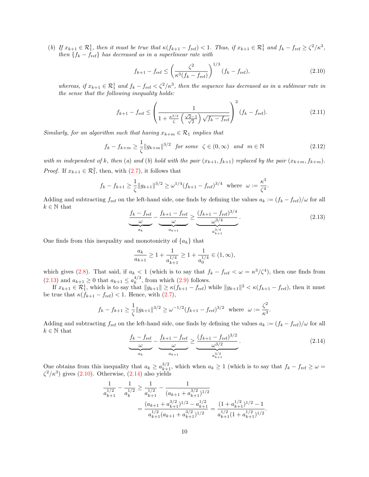(b) If  $x_{k+1} \in \mathcal{R}_1^1$ , then it must be true that  $\kappa(f_{k+1} - f_{\text{ref}}) < 1$ . Thus, if  $x_{k+1} \in \mathcal{R}_1^1$  and  $f_k - f_{\text{ref}} \geq \zeta^2/\kappa^3$ , then  ${f_k - f_{\text{ref}}}$  has decreased as in a superlinear rate with

<span id="page-9-1"></span>
$$
f_{k+1} - f_{\text{ref}} \le \left(\frac{\zeta^2}{\kappa^3 (f_k - f_{\text{ref}})}\right)^{1/3} (f_k - f_{\text{ref}}),\tag{2.10}
$$

whereas, if  $x_{k+1} \in \mathcal{R}_1^1$  and  $f_k - f_{\text{ref}} < \zeta^2 / \kappa^3$ , then the sequence has decreased as in a sublinear rate in the sense that the following inequality holds:

<span id="page-9-3"></span>
$$
f_{k+1} - f_{\text{ref}} \le \left(\frac{1}{1 + \frac{\kappa^{3/2}}{\zeta} \left(\frac{\sqrt{2} - 1}{\sqrt{2}}\right) \sqrt{f_k - f_{\text{ref}}}}\right)^2 (f_k - f_{\text{ref}}). \tag{2.11}
$$

Similarly, for an algorithm such that having  $x_{k+m} \in \mathcal{R}_1$  implies that

<span id="page-9-4"></span>
$$
f_k - f_{k+m} \ge \frac{1}{\zeta} \|g_{k+m}\|^{3/2} \quad \text{for some} \quad \zeta \in (0, \infty) \quad \text{and} \quad m \in \mathbb{N} \tag{2.12}
$$

with m independent of k, then (a) and (b) hold with the pair  $(x_{k+1}, f_{k+1})$  replaced by the pair  $(x_{k+m}, f_{k+m})$ . *Proof.* If  $x_{k+1} \in \mathcal{R}_1^2$ , then, with  $(2.7)$ , it follows that

$$
f_k - f_{k+1} \ge \frac{1}{\zeta} \|g_{k+1}\|^{3/2} \ge \omega^{1/4} (f_{k+1} - f_{\text{ref}})^{3/4}
$$
 where  $\omega := \frac{\kappa^3}{\zeta^4}$ .

Adding and subtracting  $f_{\text{ref}}$  on the left-hand side, one finds by defining the values  $a_k := (f_k - f_{\text{ref}})/\omega$  for all  $k \in \mathbb{N}$  that

<span id="page-9-0"></span>
$$
\underbrace{\frac{f_k - f_{\text{ref}}}{\omega}}_{a_k} - \underbrace{\frac{f_{k+1} - f_{\text{ref}}}{\omega}}_{a_{k+1}} \ge \underbrace{\frac{(f_{k+1} - f_{\text{ref}})^{3/4}}{\omega^{3/4}}}_{a_{k+1}^{3/4}}.
$$
\n(2.13)

One finds from this inequality and monotonicity of  $\{a_k\}$  that

$$
\frac{a_k}{a_{k+1}} \ge 1 + \frac{1}{a_{k+1}^{1/4}} \ge 1 + \frac{1}{a_0^{1/4}} \in (1, \infty),
$$

which gives [\(2.8\)](#page-8-3). That said, if  $a_k < 1$  (which is to say that  $f_k - f_{\text{ref}} < \omega = \kappa^3/\zeta^4$ ), then one finds from  $(2.13)$  and  $a_{k+1} \geq 0$  that  $a_{k+1} \leq a_k^{4/3}$  $_{k}^{4/3}$ , from which  $(2.9)$  follows.

If  $x_{k+1} \in \mathcal{R}_1^1$ , which is to say that  $||g_{k+1}|| \ge \kappa (f_{k+1} - f_{\text{ref}})$  while  $||g_{k+1}||^2 < \kappa (f_{k+1} - f_{\text{ref}})$ , then it must be true that  $\kappa(f_{k+1} - f_{\text{ref}}) < 1$ . Hence, with [\(2.7\)](#page-8-2),

$$
f_k - f_{k+1} \ge \frac{1}{\zeta} ||g_{k+1}||^{3/2} \ge \omega^{-1/2} (f_{k+1} - f_{\text{ref}})^{3/2}
$$
 where  $\omega := \frac{\zeta^2}{\kappa^3}$ .

Adding and subtracting  $f_{\text{ref}}$  on the left-hand side, one finds by defining the values  $a_k := (f_k - f_{\text{ref}})/\omega$  for all  $k \in \mathbb{N}$  that

<span id="page-9-2"></span>
$$
\underbrace{\frac{f_k - f_{\text{ref}}}{\omega}}_{a_k} - \underbrace{\frac{f_{k+1} - f_{\text{ref}}}{\omega}}_{a_{k+1}} \ge \underbrace{\frac{(f_{k+1} - f_{\text{ref}})^{3/2}}{\omega^{3/2}}}_{a_{k+1}^{3/2}}.
$$
\n(2.14)

One obtains from this inequality that  $a_k \ge a_{k+1}^{3/2}$ , which when  $a_k \ge 1$  (which is to say that  $f_k - f_{\text{ref}} \ge \omega =$  $\zeta^2/\kappa^3$ ) gives [\(2.10\)](#page-9-1). Otherwise, [\(2.14\)](#page-9-2) also yields

$$
\frac{1}{a_{k+1}^{1/2}} - \frac{1}{a_k^{1/2}} \ge \frac{1}{a_{k+1}^{1/2}} - \frac{1}{(a_{k+1} + a_{k+1}^{3/2})^{1/2}}
$$
\n
$$
= \frac{(a_{k+1} + a_{k+1}^{3/2})^{1/2} - a_{k+1}^{1/2}}{a_{k+1}^{1/2}(a_{k+1} + a_{k+1}^{3/2})^{1/2}} = \frac{(1 + a_{k+1}^{1/2})^{1/2} - 1}{a_{k+1}^{1/2}(1 + a_{k+1}^{1/2})^{1/2}}.
$$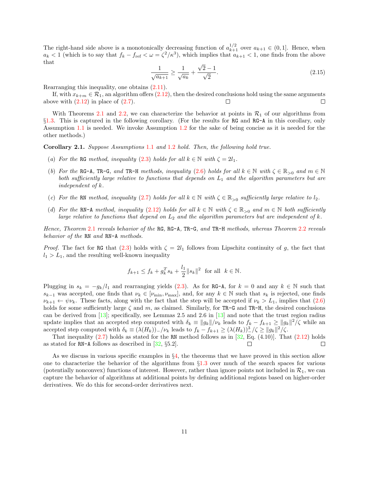The right-hand side above is a monotonically decreasing function of  $a_{k+1}^{1/2}$  over  $a_{k+1} \in (0,1]$ . Hence, when  $a_k < 1$  (which is to say that  $f_k - f_{\text{ref}} < \omega = \zeta^2 / \kappa^3$ ), which implies that  $a_{k+1} < 1$ , one finds from the above that √

<span id="page-10-1"></span>
$$
\frac{1}{\sqrt{a_{k+1}}} \ge \frac{1}{\sqrt{a_k}} + \frac{\sqrt{2} - 1}{\sqrt{2}}.
$$
\n(2.15)

Rearranging this inequality, one obtains [\(2.11\)](#page-9-3).

If, with  $x_{k+m} \in \mathcal{R}_1$ , an algorithm offers [\(2.12\)](#page-9-4), then the desired conclusions hold using the same arguments above with  $(2.12)$  in place of  $(2.7)$ .  $\Box$  $\Box$ 

With Theorems [2.1](#page-7-7) and [2.2,](#page-8-5) we can characterize the behavior at points in  $\mathcal{R}_1$  of our algorithms from §[1.3.](#page-4-3) This is captured in the following corollary. (For the results for RG and RG-A in this corollary, only Assumption [1.1](#page-4-0) is needed. We invoke Assumption [1.2](#page-4-1) for the sake of being concise as it is needed for the other methods.)

<span id="page-10-0"></span>Corollary 2.1. Suppose Assumptions [1](#page-4-0).1 and [1](#page-4-1).2 hold. Then, the following hold true.

- (a) For the RG method, inequality [\(2.3\)](#page-7-3) holds for all  $k \in \mathbb{N}$  with  $\zeta = 2l_1$ .
- (b) For the RG-A, TR-G, and TR-H methods, inequality [\(2.6\)](#page-7-6) holds for all  $k \in \mathbb{N}$  with  $\zeta \in \mathbb{R}_{>0}$  and  $m \in \mathbb{N}$ both sufficiently large relative to functions that depends on  $L_1$  and the algorithm parameters but are independent of k.
- (c) For the RN method, inequality [\(2.7\)](#page-8-2) holds for all  $k \in \mathbb{N}$  with  $\zeta \in \mathbb{R}_{>0}$  sufficiently large relative to  $l_2$ .
- (d) For the RN-A method, inequality [\(2.12\)](#page-9-4) holds for all  $k \in \mathbb{N}$  with  $\zeta \in \mathbb{R}_{>0}$  and  $m \in \mathbb{N}$  both sufficiently large relative to functions that depend on  $L_2$  and the algorithm parameters but are independent of k.

Hence, Theorem [2](#page-7-7).1 reveals behavior of the RG, RG-A, TR-G, and TR-H methods, whereas Theorem [2](#page-8-5).2 reveals behavior of the RN and RN-A methods.

*Proof.* The fact for RG that [\(2.3\)](#page-7-3) holds with  $\zeta = 2l_1$  follows from Lipschitz continuity of g, the fact that  $l_1 > L_1$ , and the resulting well-known inequality

$$
f_{k+1} \le f_k + g_k^T s_k + \frac{l_1}{2} ||s_k||^2
$$
 for all  $k \in \mathbb{N}$ .

Plugging in  $s_k = -g_k/l_1$  and rearranging yields [\(2.3\)](#page-7-3). As for RG-A, for  $k = 0$  and any  $k \in \mathbb{N}$  such that  $s_{k-1}$  was accepted, one finds that  $\nu_k \in [\nu_{\min}, \nu_{\max}]$ , and, for any  $k \in \mathbb{N}$  such that  $s_k$  is rejected, one finds  $\nu_{k+1} \leftarrow \psi \nu_k$ . These facts, along with the fact that the step will be accepted if  $\nu_k > L_1$ , implies that [\(2.6\)](#page-7-6) holds for some sufficiently large  $\zeta$  and m, as claimed. Similarly, for TR-G and TR-H, the desired conclusions can be derived from  $[13]$ ; specifically, see Lemmas 2.5 and 2.6 in  $[13]$  and note that the trust region radius update implies that an accepted step computed with  $\delta_k \equiv ||g_k||/\nu_k$  leads to  $f_k - f_{k+1} \ge ||g_k||^2/\zeta$  while an accepted step computed with  $\delta_k \equiv (\lambda(H_k))_{-}/\nu_k$  leads to  $f_k - f_{k+1} \geq (\lambda(H_k))_{-}^3/\zeta \geq ||g_k||^2/\zeta$ .

That inequality  $(2.7)$  holds as stated for the RN method follows as in [\[32,](#page-29-1) Eq.  $(4.10)$ ]. That  $(2.12)$  holds as stated for  $RN-A$  follows as described in [\[32,](#page-29-1) §5.2].  $\Box$ П

As we discuss in various specific examples in §[4,](#page-14-0) the theorems that we have proved in this section allow one to characterize the behavior of the algorithms from §[1.3](#page-4-3) over much of the search spaces for various (potentially nonconvex) functions of interest. However, rather than ignore points not included in  $\mathcal{R}_1$ , we can capture the behavior of algorithms at additional points by defining additional regions based on higher-order derivatives. We do this for second-order derivatives next.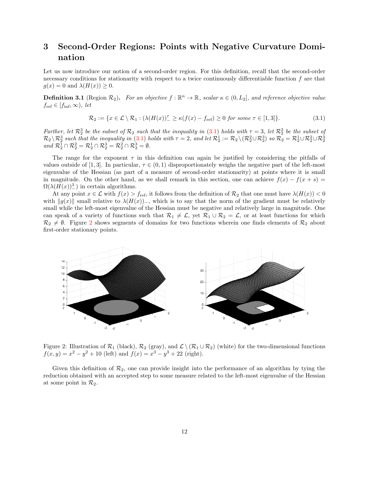## <span id="page-11-0"></span>3 Second-Order Regions: Points with Negative Curvature Domination

Let us now introduce our notion of a second-order region. For this definition, recall that the second-order necessary conditions for stationarity with respect to a twice continuously differentiable function f are that  $g(x) = 0$  and  $\lambda(H(x)) \geq 0$ .

<span id="page-11-3"></span>**Definition 3.1** (Region  $\mathcal{R}_2$ ). For an objective  $f : \mathbb{R}^n \to \mathbb{R}$ , scalar  $\kappa \in (0, L_2]$ , and reference objective value  $f_{\text{ref}} \in [f_{\text{inf}}, \infty)$ , let

<span id="page-11-1"></span>
$$
\mathcal{R}_2 := \{ x \in \mathcal{L} \setminus \mathcal{R}_1 : (\lambda(H(x))^{\tau} \ge \kappa(f(x) - f_{\text{ref}}) \ge 0 \text{ for some } \tau \in [1,3] \}. \tag{3.1}
$$

Further, let  $\mathcal{R}_2^3$  be the subset of  $\mathcal{R}_2$  such that the inequality in [\(3.1\)](#page-11-1) holds with  $\tau = 3$ , let  $\mathcal{R}_2^2$  be the subset of  $\mathcal{R}_2 \setminus \mathcal{R}_2^3$  such that the inequality in [\(3.1\)](#page-11-1) holds with  $\tau = 2$ , and let  $\mathcal{R}_2^1 := \mathcal{R}_2 \setminus (\mathcal{R}_2^2 \cup \mathcal{R}_2^3)$  so  $\mathcal{R}_2 = \mathcal{R}_2^1 \cup \mathcal{R}_2^2 \cup \mathcal{R}_2^3$ <br>and  $\mathcal{R}_2^1 \cap \mathcal{R}_2^2 = \mathcal{R}_2^1 \cap \mathcal{R}_2^3 = \$ 

The range for the exponent  $\tau$  in this definition can again be justified by considering the pitfalls of values outside of [1,3]. In particular,  $\tau \in (0,1)$  disproportionately weighs the negative part of the left-most eigenvalue of the Hessian (as part of a measure of second-order stationarity) at points where it is small in magnitude. On the other hand, as we shall remark in this section, one can achieve  $f(x) - f(x + s) =$  $\Omega(\lambda(H(x))_{-}^{3})$  in certain algorithms.

At any point  $x \in \mathcal{L}$  with  $f(x) > f_{\text{ref}}$ , it follows from the definition of  $\mathcal{R}_2$  that one must have  $\lambda(H(x)) < 0$ with  $||g(x)||$  small relative to  $\lambda(H(x))$ <sub>-</sub>, which is to say that the norm of the gradient must be relatively small while the left-most eigenvalue of the Hessian must be negative and relatively large in magnitude. One can speak of a variety of functions such that  $\mathcal{R}_1 \neq \mathcal{L}$ , yet  $\mathcal{R}_1 \cup \mathcal{R}_2 = \mathcal{L}$ , or at least functions for which  $\mathcal{R}_2 \neq \emptyset$  $\mathcal{R}_2 \neq \emptyset$  $\mathcal{R}_2 \neq \emptyset$ . Figure 2 shows segments of domains for two functions wherein one finds elements of  $\mathcal{R}_2$  about first-order stationary points.



<span id="page-11-2"></span>Figure 2: Illustration of  $\mathcal{R}_1$  (black),  $\mathcal{R}_2$  (gray), and  $\mathcal{L} \setminus (\mathcal{R}_1 \cup \mathcal{R}_2)$  (white) for the two-dimensional functions  $f(x,y) = x^2 - y^2 + 10$  (left) and  $f(x) = x^3 - y^3 + 22$  (right).

Given this definition of  $\mathcal{R}_2$ , one can provide insight into the performance of an algorithm by tying the reduction obtained with an accepted step to some measure related to the left-most eigenvalue of the Hessian at some point in  $\mathcal{R}_2$ .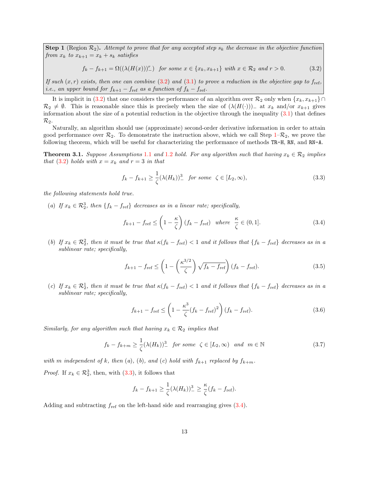**Step 1** (Region  $\mathcal{R}_2$ ). Attempt to prove that for any accepted step  $s_k$  the decrease in the objective function from  $x_k$  to  $x_{k+1} = x_k + s_k$  satisfies

<span id="page-12-0"></span>
$$
f_k - f_{k+1} = \Omega((\lambda(H(x)))^r) \quad \text{for some } x \in \{x_k, x_{k+1}\} \text{ with } x \in \mathcal{R}_2 \text{ and } r > 0. \tag{3.2}
$$

If such  $(x, r)$  exists, then one can combine [\(3.2\)](#page-12-0) and [\(3.1\)](#page-11-1) to prove a reduction in the objective gap to  $f_{ref}$ , *i.e.*, an upper bound for  $f_{k+1} - f_{ref}$  as a function of  $f_k - f_{ref}$ .

It is implicit in [\(3.2\)](#page-12-0) that one considers the performance of an algorithm over  $\mathcal{R}_2$  only when  $\{x_k, x_{k+1}\}\cap$  $\mathcal{R}_2 \neq \emptyset$ . This is reasonable since this is precisely when the size of  $(\lambda(H(\cdot)))$ <sub>-</sub> at  $x_k$  and/or  $x_{k+1}$  gives information about the size of a potential reduction in the objective through the inequality  $(3.1)$  that defines  $\mathcal{R}_2$ .

Naturally, an algorithm should use (approximate) second-order derivative information in order to attain good performance over  $\mathcal{R}_2$ . To demonstrate the instruction above, which we call Step [1–](#page-7-2) $\mathcal{R}_2$ , we prove the following theorem, which will be useful for characterizing the performance of methods TR-H, RN, and RN-A.

<span id="page-12-6"></span>**Theorem 3.[1](#page-4-1).** Suppose Assumptions 1.1 and 1.2 hold. For any algorithm such that having  $x_k \in \mathcal{R}_2$  implies that [\(3.2\)](#page-12-0) holds with  $x = x_k$  and  $r = 3$  in that

<span id="page-12-1"></span>
$$
f_k - f_{k+1} \ge \frac{1}{\zeta} (\lambda(H_k))_{-}^3 \quad \text{for some} \quad \zeta \in [L_2, \infty), \tag{3.3}
$$

the following statements hold true.

(a) If  $x_k \in \mathcal{R}_2^3$ , then  $\{f_k - f_{\text{ref}}\}$  decreases as in a linear rate; specifically,

<span id="page-12-2"></span>
$$
f_{k+1} - f_{\text{ref}} \le \left(1 - \frac{\kappa}{\zeta}\right)(f_k - f_{\text{ref}}) \quad \text{where} \quad \frac{\kappa}{\zeta} \in (0, 1]. \tag{3.4}
$$

(b) If  $x_k \in \mathcal{R}_2^2$ , then it must be true that  $\kappa(f_k - f_{\text{ref}}) < 1$  and it follows that  $\{f_k - f_{\text{ref}}\}$  decreases as in a sublinear rate; specifically,

<span id="page-12-3"></span>
$$
f_{k+1} - f_{\text{ref}} \le \left(1 - \left(\frac{\kappa^{3/2}}{\zeta}\right) \sqrt{f_k - f_{\text{ref}}}\right) (f_k - f_{\text{ref}}). \tag{3.5}
$$

(c) If  $x_k \in \mathcal{R}_2^1$ , then it must be true that  $\kappa(f_k - f_{\text{ref}}) < 1$  and it follows that  $\{f_k - f_{\text{ref}}\}$  decreases as in a sublinear rate; specifically,

<span id="page-12-4"></span>
$$
f_{k+1} - f_{\text{ref}} \le \left(1 - \frac{\kappa^3}{\zeta} (f_k - f_{\text{ref}})^2\right) (f_k - f_{\text{ref}}). \tag{3.6}
$$

Similarly, for any algorithm such that having  $x_k \in \mathcal{R}_2$  implies that

<span id="page-12-5"></span>
$$
f_k - f_{k+m} \ge \frac{1}{\zeta} (\lambda(H_k))_{-}^3 \quad \text{for some } \zeta \in [L_2, \infty) \quad \text{and} \quad m \in \mathbb{N} \tag{3.7}
$$

with m independent of k, then (a), (b), and (c) hold with  $f_{k+1}$  replaced by  $f_{k+m}$ . *Proof.* If  $x_k \in \mathcal{R}_2^3$ , then, with  $(3.3)$ , it follows that

$$
f_k - f_{k+1} \ge \frac{1}{\zeta} (\lambda(H_k))_-^3 \ge \frac{\kappa}{\zeta} (f_k - f_{\text{ref}}).
$$

Adding and subtracting  $f_{ref}$  on the left-hand side and rearranging gives  $(3.4)$ .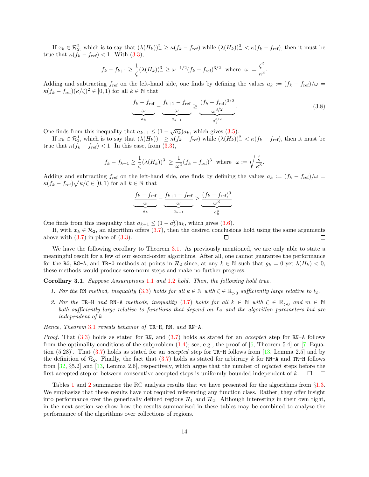If  $x_k \in \mathcal{R}_2^2$ , which is to say that  $(\lambda(H_k))_-^2 \ge \kappa(f_k - f_{\text{ref}})$  while  $(\lambda(H_k))_-^3 < \kappa(f_k - f_{\text{ref}})$ , then it must be true that  $\kappa(f_k - f_{\text{ref}}) < 1$ . With  $(3.3)$ ,

$$
f_k - f_{k+1} \ge \frac{1}{\zeta} (\lambda(H_k))_{-}^3 \ge \omega^{-1/2} (f_k - f_{\text{ref}})^{3/2}
$$
 where  $\omega := \frac{\zeta^2}{\kappa^3}$ .

Adding and subtracting  $f_{\text{ref}}$  on the left-hand side, one finds by defining the values  $a_k := (f_k - f_{\text{ref}})/\omega$  $\kappa(f_k - f_{\text{ref}})(\kappa/\zeta)^2 \in [0,1)$  for all  $k \in \mathbb{N}$  that

<span id="page-13-1"></span>
$$
\underbrace{\frac{f_k - f_{\text{ref}}}{\omega}}_{a_k} - \underbrace{\frac{f_{k+1} - f_{\text{ref}}}{\omega}}_{a_{k+1}} \ge \underbrace{\frac{(f_k - f_{\text{ref}})^{3/2}}{\omega^{3/2}}}_{a_k^{3/2}}.
$$
\n(3.8)

One finds from this inequality that  $a_{k+1} \leq (1 - \sqrt{a_k})a_k$ , which gives [\(3.5\)](#page-12-3).

If  $x_k \in \mathcal{R}_2^1$ , which is to say that  $(\lambda(H_k))_- \ge \kappa(f_k - f_{\text{ref}})$  while  $(\lambda(H_k))^2 < \kappa(f_k - f_{\text{ref}})$ , then it must be true that  $\kappa(f_k - f_{\text{ref}}) < 1$ . In this case, from [\(3.3\)](#page-12-1),

$$
f_k - f_{k+1} \ge \frac{1}{\zeta} (\lambda(H_k))_-^3 \ge \frac{1}{\omega^2} (f_k - f_{\text{ref}})^3
$$
 where  $\omega := \sqrt{\frac{\zeta}{\kappa^3}}$ .

Adding and subtracting  $f_{ref}$  on the left-hand side, one finds by defining the values  $a_k := (f_k - f_{ref})/\omega =$  $\kappa(f_k - f_{\text{ref}})\sqrt{\kappa/\zeta} \in [0,1)$  for all  $k \in \mathbb{N}$  that

$$
\underbrace{\frac{f_k - f_{\text{ref}}}{\omega}}_{a_k} - \underbrace{\frac{f_{k+1} - f_{\text{ref}}}{\omega}}_{a_{k+1}} \geq \underbrace{\frac{(f_k - f_{\text{ref}})^3}{\omega^3}}_{a_k^3}.
$$

One finds from this inequality that  $a_{k+1} \leq (1 - a_k^2)a_k$ , which gives [\(3.6\)](#page-12-4).

If, with  $x_k \in \mathcal{R}_2$ , an algorithm offers [\(3.7\)](#page-12-5), then the desired conclusions hold using the same arguments above with  $(3.7)$  in place of  $(3.3)$ .  $\Box$ П

We have the following corollary to Theorem [3.1.](#page-12-6) As previously mentioned, we are only able to state a meaningful result for a few of our second-order algorithms. After all, one cannot guarantee the performance for the RG, RG-A, and TR-G methods at points in  $\mathcal{R}_2$  since, at any  $k \in \mathbb{N}$  such that  $g_k = 0$  yet  $\lambda(H_k) < 0$ , these methods would produce zero-norm steps and make no further progress.

<span id="page-13-0"></span>Corollary 3.1. Suppose Assumptions [1](#page-4-0).1 and [1](#page-4-1).2 hold. Then, the following hold true.

- 1. For the RN method, inequality [\(3.3\)](#page-12-1) holds for all  $k \in \mathbb{N}$  with  $\zeta \in \mathbb{R}_{>0}$  sufficiently large relative to  $l_2$ .
- 2. For the TR-H and RN-A methods, inequality [\(3.7\)](#page-12-5) holds for all  $k \in \mathbb{N}$  with  $\zeta \in \mathbb{R}_{>0}$  and  $m \in \mathbb{N}$ both sufficiently large relative to functions that depend on  $L_2$  and the algorithm parameters but are independent of k.

Hence, Theorem [3](#page-12-6).1 reveals behavior of TR-H, RN, and RN-A.

*Proof.* That  $(3.3)$  holds as stated for RN, and  $(3.7)$  holds as stated for an *accepted* step for RN-A follows from the optimality conditions of the subproblem  $(1.4)$ ; see, e.g., the proof of  $[6,$  Theorem 5.4] or  $[7,$  Equation  $(5.28)$ ]. That  $(3.7)$  holds as stated for an *accepted* step for TR-H follows from [\[13,](#page-28-10) Lemma 2.5] and by the definition of  $\mathcal{R}_2$ . Finally, the fact that [\(3.7\)](#page-12-5) holds as stated for arbitrary k for RN-A and TR-H follows from [\[32,](#page-29-1) §5.2] and [\[13,](#page-28-10) Lemma 2.6], respectively, which argue that the number of rejected steps before the first accepted step or between consecutive accepted steps is uniformly bounded independent of  $k$ .  $\Box$  $\Box$ 

Tables [1](#page-14-1) and [2](#page-14-2) summarize the RC analysis results that we have presented for the algorithms from  $\S 1.3$ . We emphasize that these results have not required referencing any function class. Rather, they offer insight into performance over the generically defined regions  $\mathcal{R}_1$  and  $\mathcal{R}_2$ . Although interesting in their own right, in the next section we show how the results summarized in these tables may be combined to analyze the performance of the algorithms over collections of regions.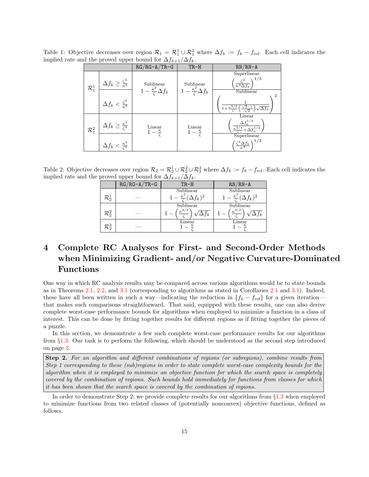| $\mu$ and proved appoint for $\mu_{k+1} = f_k$ . |                                            | $RG/RG - A/TR - G$                            | $TR-H$                                       | $RN/RN-A$                                                                                |
|--------------------------------------------------|--------------------------------------------|-----------------------------------------------|----------------------------------------------|------------------------------------------------------------------------------------------|
| $\mathcal{R}_1^1$                                | $\Delta f_k \geq \frac{\zeta^2}{\kappa^3}$ | Sublinear<br>$1-\frac{\kappa^2}{4}\Delta f_k$ | Sublinear<br>$-\frac{\kappa^2}{4}\Delta f_k$ | Superlinear<br>1/3<br>$\frac{\zeta^2}{\kappa^3 \Delta f_k}$<br>Sublinear                 |
|                                                  | $\Delta f_k < \frac{\zeta^2}{\kappa^3}$    |                                               |                                              | $\overline{2}$<br>$1+\frac{\kappa^{3/2}}{2}$<br>$\sqrt{\Delta f_k}$                      |
| $\mathcal{R}_1^2$                                | $\Delta f_k \geq \frac{\kappa^3}{\zeta^4}$ | Linear<br>$1-\frac{\kappa}{\zeta}$            | Linear<br>$1-\frac{\kappa}{\zeta}$           | Linear<br>$\Delta f_0^{1/4}$<br>$\frac{\kappa^{3/4}+\Delta f_0^{1/4}}{4}$<br>Superlinear |
|                                                  | $\Delta f_k < \frac{\kappa^3}{\zeta^4}$    |                                               |                                              | $\left(\frac{\zeta^4 \Delta f_k}{\kappa^3}\right)^{1/3}$                                 |

<span id="page-14-1"></span>Table 1: Objective decreases over region  $\mathcal{R}_1 = \mathcal{R}_1^1 \cup \mathcal{R}_1^2$  where  $\Delta f_k := f_k - f_{\text{ref}}$ . Each cell indicates the implied rate and the proved upper bound for  $\Delta f_{k+1}/\Delta f_k$ .

Table 2: Objective decreases over region  $\mathcal{R}_2 = \mathcal{R}_2^1 \cup \mathcal{R}_2^2 \cup \mathcal{R}_2^3$  where  $\Delta f_k := f_k - f_{\text{ref}}$ . Each cell indicates the implied rate and the proved upper bound for  $\Delta f_{k+1}/\Delta f_k$ .

<span id="page-14-2"></span>

|                   | $RG/RG-A/TR-G$ | $TR-H$                               | $RN/RN-A$                            |
|-------------------|----------------|--------------------------------------|--------------------------------------|
|                   |                | Sublinear                            | Sublinear                            |
| $\mathcal{R}_2^1$ |                | $1-\frac{\kappa^3}{4}(\Delta f_k)^2$ | $1-\frac{\kappa^3}{6}(\Delta f_k)^2$ |
|                   |                | Sublinear                            | Sublinear                            |
| $\mathcal{R}_2^2$ |                | $\kappa^{3/2}$                       | $\kappa^{3/2}$                       |
|                   |                | Linear                               | Linear                               |
| $\mathcal{R}_2^3$ |                |                                      |                                      |

## <span id="page-14-0"></span>4 Complete RC Analyses for First- and Second-Order Methods when Minimizing Gradient- and/or Negative Curvature-Dominated Functions

One way in which RC analysis results may be compared across various algorithms would be to state bounds as in Theorems [2.1,](#page-7-7) [2.2,](#page-8-5) and [3.1](#page-12-6) (corresponding to algorithms as stated in Corollaries [2.1](#page-10-0) and [3.1\)](#page-13-0). Indeed, these have all been written in such a way—indicating the reduction in  $\{f_k - f_{\text{ref}}\}$  for a given iteration that makes such comparisons straightforward. That said, equipped with these results, one can also derive complete worst-case performance bounds for algorithms when employed to minimize a function in a class of interest. This can be done by fitting together results for different regions as if fitting together the pieces of a puzzle.

In this section, we demonstrate a few such complete worst-case performance results for our algorithms from §[1.3.](#page-4-3) Our task is to perform the following, which should be understood as the second step introduced on page [3.](#page-1-1)

Step 2. For an algorithm and different combinations of regions (or subregions), combine results from Step 1 corresponding to these (sub)regions in order to state complete worst-case complexity bounds for the algorithm when it is employed to minimize an objective function for which the search space is completely covered by the combination of regions. Such bounds hold immediately for functions from classes for which it has been shown that the search space is covered by the combination of regions.

<span id="page-14-3"></span>In order to demonstrate Step 2, we provide complete results for our algorithms from  $\S1.3$  $\S1.3$  when employed to minimize functions from two related classes of (potentially nonconvex) objective functions, defined as follows.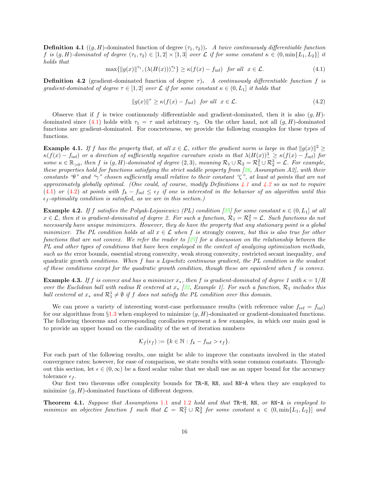**Definition 4.1** ((g, H)-dominated function of degree  $(\tau_1, \tau_2)$ ). A twice continuously differentiable function f is  $(g, H)$ -dominated of degree  $(\tau_1, \tau_2) \in [1, 2] \times [1, 3]$  over  $\mathcal L$  if for some constant  $\kappa \in (0, \min\{L_1, L_2\}]$  it holds that

<span id="page-15-0"></span>
$$
\max\{\|g(x)\|^{\tau_1}, (\lambda(H(x)))\tilde{\varepsilon}\}\ge \kappa(f(x)-f_{\inf})\quad \text{for all}\quad x\in\mathcal{L}.\tag{4.1}
$$

<span id="page-15-1"></span>**Definition 4.2** (gradient-dominated function of degree  $\tau$ ). A continuously differentiable function f is gradient-dominated of degree  $\tau \in [1,2]$  over L if for some constant  $\kappa \in (0,L_1]$  it holds that

<span id="page-15-2"></span>
$$
||g(x)||^{\tau} \ge \kappa (f(x) - f_{\text{inf}}) \quad \text{for all} \quad x \in \mathcal{L}.
$$
 (4.2)

Observe that if f is twice continuously differentiable and gradient-dominated, then it is also  $(g, H)$ -dominated since [\(4.1\)](#page-15-0) holds with  $\tau_1 = \tau$  and arbitrary  $\tau_2$ . On the other hand, not all  $(g, H)$ -dominated functions are gradient-dominated. For concreteness, we provide the following examples for these types of functions.

**Example 4.1.** If f has the property that, at all  $x \in \mathcal{L}$ , either the gradient norm is large in that  $||g(x)||^2 \ge$  $\kappa(f(x) - f_{\text{inf}})$  or a direction of sufficiently negative curvature exists in that  $\lambda(H(x)) \stackrel{3}{\geq} \geq \kappa(f(x) - f_{\text{inf}})$  for some  $\kappa \in \mathbb{R}_{>0}$ , then f is  $(g,H)$ -dominated of degree  $(2,3)$ , meaning  $\mathcal{R}_1 \cup \mathcal{R}_2 = \mathcal{R}_1^2 \cup \mathcal{R}_2^3 = \mathcal{L}$ . For example, these properties hold for functions satisfying the strict saddle property from  $[26,$  Assumption A2], with their constants "θ" and "γ" chosen sufficiently small relative to their constant "ζ", at least at points that are not approximately globally optimal. (One could, of course, modify Definitions  $\frac{1}{4}$ .1 and  $\frac{1}{4}$ .2 so as not to require [\(4.1\)](#page-15-0) or [\(4.2\)](#page-15-2) at points with  $f_k - f_{inf} \leq \epsilon_f$  if one is interested in the behavior of an algorithm until this  $\epsilon_f$ -optimality condition is satisfied, as we are in this section.)

**Example 4.2.** If f satisfies the Polyak-Lojasiewicz (PL) condition [\[35\]](#page-29-16) for some constant  $\kappa \in (0, L_1]$  at all  $x \in \mathcal{L}$ , then it is gradient-dominated of degree 2. For such a function,  $\mathcal{R}_1 = \mathcal{R}_1^2 = \mathcal{L}$ . Such functions do not necessarily have unique minimizers. However, they do have the property that any stationary point is a global minimizer. The PL condition holds at all  $x \in \mathcal{L}$  when f is strongly convex, but this is also true for other functions that are not convex. We refer the reader to  $\left[\frac{27}{7}\right]$  for a discussion on the relationship between the PL and other types of conditions that have been employed in the context of analyzing optimization methods, such as the error bounds, essential strong convexity, weak strong convexity, restricted secant inequality, and quadratic growth conditions. When f has a Lipschitz continuous gradient, the PL condition is the weakest of these conditions except for the quadratic growth condition, though these are equivalent when f is convex.

**Example 4.3.** If f is convex and has a minimizer  $x_*$ , then f is gradient-dominated of degree 1 with  $\kappa = 1/R$ over the Euclidean ball with radius R centered at  $x_*$  [\[32,](#page-29-1) Example 1]. For such a function,  $\mathcal{R}_1$  includes this ball centered at  $x_*$  and  $\mathcal{R}_1^1 \neq \emptyset$  if f does not satisfy the PL condition over this domain.

We can prove a variety of interesting worst-case performance results (with reference value  $f_{\text{ref}} = f_{\text{inf}}$ ) for our algorithms from  $\S1.3$  $\S1.3$  when employed to minimize  $(g, H)$ -dominated or gradient-dominated functions. The following theorems and corresponding corollaries represent a few examples, in which our main goal is to provide an upper bound on the cardinality of the set of iteration numbers

$$
\mathcal{K}_f(\epsilon_f) := \{ k \in \mathbb{N} : f_k - f_{\text{inf}} > \epsilon_f \}.
$$

For each part of the following results, one might be able to improve the constants involved in the stated convergence rates; however, for ease of comparison, we state results with some common constants. Throughout this section, let  $\epsilon \in (0,\infty)$  be a fixed scalar value that we shall use as an upper bound for the accuracy tolerance  $\epsilon_f$ .

Our first two theorems offer complexity bounds for TR-H, RN, and RN-A when they are employed to minimize  $(g, H)$ -dominated functions of different degrees.

<span id="page-15-3"></span>Theorem 4.1. Suppose that Assumptions [1](#page-4-0).1 and [1](#page-4-1).2 hold and that TR-H, RN, or RN-A is employed to minimize an objective function f such that  $\mathcal{L} = \mathcal{R}_1^2 \cup \mathcal{R}_2^3$  for some constant  $\kappa \in (0, \min\{L_1, L_2\}]$  and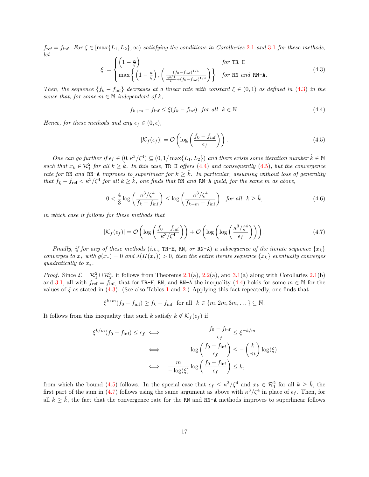$f_{\text{ref}} = f_{\text{inf}}$ . For  $\zeta \in [\max\{L_1, L_2\}, \infty)$  $\zeta \in [\max\{L_1, L_2\}, \infty)$  $\zeta \in [\max\{L_1, L_2\}, \infty)$  satisfying the conditions in Corollaries 2.1 and [3](#page-13-0).1 for these methods, let

<span id="page-16-0"></span>
$$
\xi := \begin{cases} \left(1 - \frac{\kappa}{\zeta}\right) & \text{for TR-H} \\ \max\left\{\left(1 - \frac{\kappa}{\zeta}\right), \left(\frac{\left(f_0 - f_{\text{inf}}\right)^{1/4}}{\frac{\kappa^{3/4}}{\zeta} + \left(f_0 - f_{\text{inf}}\right)^{1/4}}\right)\right\} & \text{for RN and RN-A.} \end{cases}
$$
(4.3)

Then, the sequence  $\{f_k - f_{\text{inf}}\}$  decreases at a linear rate with constant  $\xi \in (0,1)$  as defined in [\(4.3\)](#page-16-0) in the sense that, for some  $m \in \mathbb{N}$  independent of k,

<span id="page-16-1"></span>
$$
f_{k+m} - f_{\text{inf}} \le \xi(f_k - f_{\text{inf}}) \quad \text{for all} \quad k \in \mathbb{N}.
$$

Hence, for these methods and any  $\epsilon_f \in (0, \epsilon)$ ,

<span id="page-16-2"></span>
$$
|\mathcal{K}_f(\epsilon_f)| = \mathcal{O}\left(\log\left(\frac{f_0 - f_{\inf}}{\epsilon_f}\right)\right). \tag{4.5}
$$

One can go further if  $\epsilon_f \in (0, \kappa^3/\zeta^4) \subseteq (0, 1/\max\{L_1, L_2\})$  and there exists some iteration number  $\hat{k} \in \mathbb{N}$ such that  $x_k \in \mathcal{R}_1^2$  for all  $k \geq \hat{k}$ . In this case, TR-H offers [\(4.4\)](#page-16-1) and consequently [\(4.5\)](#page-16-2), but the convergence rate for RN and RN-A improves to superlinear for  $k \geq \hat{k}$ . In particular, assuming without loss of generality that  $f_{\hat{k}} - f_{\text{ref}} < \kappa^3/\zeta^4$  for all  $k \geq \hat{k}$ , one finds that RN and RN-A yield, for the same m as above,

<span id="page-16-4"></span>
$$
0 < \frac{4}{3} \log \left( \frac{\kappa^3/\zeta^4}{f_k - f_{\text{inf}}} \right) \le \log \left( \frac{\kappa^3/\zeta^4}{f_{k+m} - f_{\text{inf}}} \right) \quad \text{for all} \quad k \ge \hat{k}, \tag{4.6}
$$

in which case it follows for these methods that

<span id="page-16-3"></span>
$$
|\mathcal{K}_f(\epsilon_f)| = \mathcal{O}\left(\log\left(\frac{f_0 - f_{\inf}}{\kappa^3/\zeta^4}\right)\right) + \mathcal{O}\left(\log\left(\log\left(\frac{\kappa^3/\zeta^4}{\epsilon_f}\right)\right)\right). \tag{4.7}
$$

Finally, if for any of these methods (i.e., TR-H, RN, or RN-A) a subsequence of the iterate sequence  $\{x_k\}$ converges to  $x_*$  with  $g(x_*) = 0$  and  $\lambda(H(x_*)) > 0$ , then the entire iterate sequence  $\{x_k\}$  eventually converges quadratically to  $x_*$ .

*Proof.* Since  $\mathcal{L} = \mathcal{R}_1^2 \cup \mathcal{R}_2^3$ , it follows from Theorems [2.1\(](#page-10-0)a), [2.2\(](#page-8-5)a), and [3.1\(](#page-12-6)a) along with Corollaries 2.1(b) and [3.1,](#page-13-0) all with  $f_{ref} = f_{\text{inf}}$ , that for TR-H, RN, and RN-A the inequality [\(4.4\)](#page-16-1) holds for some  $m \in \mathbb{N}$  for the values of  $\xi$  as stated in [\(4.3\)](#page-16-0). (See also Tables [1](#page-14-1) and [2.](#page-14-2)) Applying this fact repeatedly, one finds that

 $\xi^{k/m}(f_0 - f_{\text{inf}}) \ge f_k - f_{\text{inf}}$  for all  $k \in \{m, 2m, 3m, \dots\} \subseteq \mathbb{N}$ .

It follows from this inequality that such k satisfy  $k \notin \mathcal{K}_f(\epsilon_f)$  if

$$
\xi^{k/m}(f_0 - f_{\inf}) \le \epsilon_f \iff \frac{f_0 - f_{\inf}}{\epsilon_f} \le \xi^{-k/m}
$$

$$
\iff \log\left(\frac{f_0 - f_{\inf}}{\epsilon_f}\right) \le -\left(\frac{k}{m}\right) \log(\xi)
$$

$$
\iff \frac{m}{-\log(\xi)} \log\left(\frac{f_0 - f_{\inf}}{\epsilon_f}\right) \le k,
$$

from which the bound [\(4.5\)](#page-16-2) follows. In the special case that  $\epsilon_f \leq \kappa^3/\zeta^4$  and  $x_k \in \mathcal{R}_1^2$  for all  $k \geq \hat{k}$ , the first part of the sum in [\(4.7\)](#page-16-3) follows using the same argument as above with  $\kappa^3/\zeta^4$  in place of  $\epsilon_f$ . Then, for all  $k \geq \hat{k}$ , the fact that the convergence rate for the RN and RN-A methods improves to superlinear follows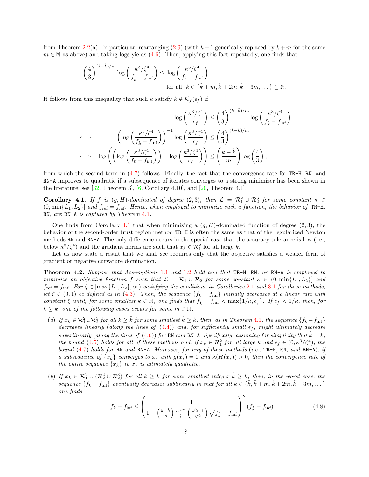from Theorem [2.2\(](#page-8-5)a). In particular, rearranging [\(2.9\)](#page-8-4) (with  $k+1$  generically replaced by  $k+m$  for the same  $m \in \mathbb{N}$  as above) and taking logs yields [\(4.6\)](#page-16-4). Then, applying this fact repeatedly, one finds that

$$
\left(\frac{4}{3}\right)^{(k-\hat{k})/m} \log\left(\frac{\kappa^3/\zeta^4}{f_{\hat{k}} - f_{\inf}}\right) \le \log\left(\frac{\kappa^3/\zeta^4}{f_k - f_{\inf}}\right)
$$
  
for all  $k \in \{\hat{k} + m, \hat{k} + 2m, \hat{k} + 3m, \dots\} \subseteq \mathbb{N}.$ 

It follows from this inequality that such k satisfy  $k \notin \mathcal{K}_f(\epsilon_f)$  if

$$
\log\left(\frac{\kappa^3/\zeta^4}{\epsilon_f}\right) \le \left(\frac{4}{3}\right)^{(k-\hat{k})/m} \log\left(\frac{\kappa^3/\zeta^4}{f_{\hat{k}} - f_{\inf}}\right)
$$
  

$$
\iff \log\left(\log\left(\frac{\kappa^3/\zeta^4}{f_{\hat{k}} - f_{\inf}}\right)\right)^{-1} \log\left(\frac{\kappa^3/\zeta^4}{\epsilon_f}\right) \le \left(\frac{4}{3}\right)^{(k-\hat{k})/m}
$$
  

$$
\iff \log\left(\left(\log\left(\frac{\kappa^3/\zeta^4}{f_{\hat{k}} - f_{\inf}}\right)\right)^{-1} \log\left(\frac{\kappa^3/\zeta^4}{\epsilon_f}\right)\right) \le \left(\frac{k-\hat{k}}{m}\right) \log\left(\frac{4}{3}\right),
$$

from which the second term in  $(4.7)$  follows. Finally, the fact that the convergence rate for TR-H, RN, and RN-A improves to quadratic if a subsequence of iterates converges to a strong minimizer has been shown in the literature; see  $[32,$  Theorem 3,  $[6,$  Corollary 4.10, and  $[20,$  Theorem 4.1.  $\Box$ П

<span id="page-17-0"></span>**Corollary 4.1.** If f is  $(g,H)$ -dominated of degree  $(2,3)$ , then  $\mathcal{L} = \mathcal{R}_1^2 \cup \mathcal{R}_2^3$  for some constant  $\kappa \in$  $(0, \min\{L_1, L_2\}]$  and  $f_{\text{ref}} = f_{\text{inf}}$ . Hence, when employed to minimize such a function, the behavior of TR-H, RN, are RN-A is captured by Theorem [4](#page-15-3).1.

One finds from Corollary [4.1](#page-17-0) that when minimizing a  $(g, H)$ -dominated function of degree  $(2, 3)$ , the behavior of the second-order trust region method TR-H is often the same as that of the regularized Newton methods RN and RN-A. The only difference occurs in the special case that the accuracy tolerance is low (i.e., below  $\kappa^3/\zeta^4$ ) and the gradient norms are such that  $x_k \in \mathcal{R}_1^2$  for all large k.

Let us now state a result that we shall see requires only that the objective satisfies a weaker form of gradient or negative curvature domination.

<span id="page-17-2"></span>Theorem 4.2. Suppose that Assumptions [1](#page-4-0).1 and [1](#page-4-1).2 hold and that TR-H, RN, or RN-A is employed to minimize an objective function f such that  $\mathcal{L} = \mathcal{R}_1 \cup \mathcal{R}_2$  for some constant  $\kappa \in (0, \min\{L_1, L_2\}]$  and  $f_{\text{ref}} = f_{\text{inf}}$ . For  $\zeta \in [\max\{L_1, L_2\}, \infty)$  $\zeta \in [\max\{L_1, L_2\}, \infty)$  $\zeta \in [\max\{L_1, L_2\}, \infty)$  satisfying the conditions in Corollaries 2.1 and [3](#page-13-0).1 for these methods, let  $\xi \in (0,1)$  be defined as in [\(4.3\)](#page-16-0). Then, the sequence  $\{f_k - f_{\text{inf}}\}$  initially decreases at a linear rate with constant  $\xi$  until, for some smallest  $\overline{k} \in \mathbb{N}$ , one finds that  $f_{\overline{k}} - f_{\text{inf}} < \max\{1/\kappa, \epsilon_f\}$ . If  $\epsilon_f < 1/\kappa$ , then, for  $k \geq \overline{k}$ , one of the following cases occurs for some  $m \in \mathbb{N}$ .

- (a) If  $x_k \in \mathcal{R}_1^2 \cup \mathcal{R}_2^3$  for all  $k \geq \hat{k}$  for some smallest  $\hat{k} \geq \bar{k}$ , then, as in Theorem [4](#page-15-3).1, the sequence  $\{f_k f_{\text{inf}}\}$ decreases linearly (along the lines of  $(4.4)$ ) and, for sufficiently small  $\epsilon_f$ , might ultimately decrease superlinearly (along the lines of [\(4.6\)](#page-16-4)) for RN and RN-A. Specifically, assuming for simplicity that  $\hat{k} = \bar{k}$ , the bound [\(4.5\)](#page-16-2) holds for all of these methods and, if  $x_k \in \mathcal{R}_1^2$  for all large k and  $\epsilon_f \in (0, \kappa^3/\zeta^4)$ , the bound [\(4.7\)](#page-16-3) holds for RN and RN-A. Moreover, for any of these methods (i.e., TR-H, RN, and RN-A), if a subsequence of  $\{x_k\}$  converges to  $x_*$  with  $g(x_*)=0$  and  $\lambda(H(x_*))>0$ , then the convergence rate of the entire sequence  $\{x_k\}$  to  $x_*$  is ultimately quadratic.
- (b) If  $x_k \in \mathcal{R}_1^2 \cup (\mathcal{R}_2^2 \cup \mathcal{R}_2^3)$  for all  $k \geq \hat{k}$  for some smallest integer  $\hat{k} \geq \bar{k}$ , then, in the worst case, the sequence  $\{f_k - f_{\text{inf}}\}$  eventually decreases sublinearly in that for all  $k \in \{\hat{k}, \hat{k} + m, \hat{k} + 2m, \hat{k} + 3m, \dots\}$ one finds

<span id="page-17-1"></span>
$$
f_k - f_{\text{inf}} \le \left(\frac{1}{1 + \left(\frac{k - \hat{k}}{m}\right) \frac{\kappa^{3/2}}{\zeta} \left(\frac{\sqrt{2} - 1}{\sqrt{2}}\right) \sqrt{f_{\hat{k}} - f_{\text{inf}}}}\right)^2 (f_{\hat{k}} - f_{\text{inf}}) \tag{4.8}
$$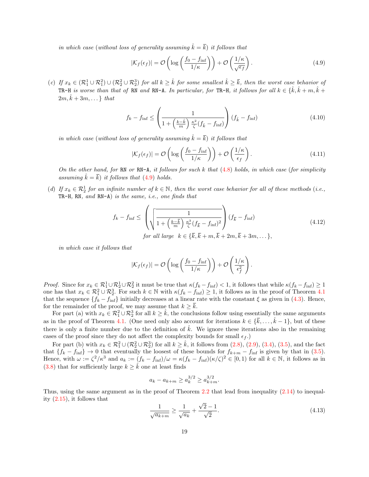in which case (without loss of generality assuming  $\hat{k} = \overline{k}$ ) it follows that

<span id="page-18-0"></span>
$$
|\mathcal{K}_f(\epsilon_f)| = \mathcal{O}\left(\log\left(\frac{f_0 - f_{\inf}}{1/\kappa}\right)\right) + \mathcal{O}\left(\frac{1/\kappa}{\sqrt{\epsilon_f}}\right). \tag{4.9}
$$

(c) If  $x_k \in (\mathcal{R}_1^1 \cup \mathcal{R}_1^2) \cup (\mathcal{R}_2^2 \cup \mathcal{R}_2^3)$  for all  $k \geq \hat{k}$  for some smallest  $\hat{k} \geq \bar{k}$ , then the worst case behavior of TR-H is worse than that of RN and RN-A. In particular, for TR-H, it follows for all  $k \in \{\hat{k}, \hat{k} + m, \hat{k} + m\}$  $2m, k+3m, \ldots \}$  that

<span id="page-18-1"></span>
$$
f_k - f_{\text{inf}} \le \left(\frac{1}{1 + \left(\frac{k - \hat{k}}{m}\right) \frac{\kappa^2}{\zeta} (f_{\hat{k}} - f_{\text{inf}})}\right) (f_{\hat{k}} - f_{\text{inf}}) \tag{4.10}
$$

in which case (without loss of generality assuming  $\hat{k} = \overline{k}$ ) it follows that

<span id="page-18-4"></span>
$$
|\mathcal{K}_f(\epsilon_f)| = \mathcal{O}\left(\log\left(\frac{f_0 - f_{\inf}}{1/\kappa}\right)\right) + \mathcal{O}\left(\frac{1/\kappa}{\epsilon_f}\right). \tag{4.11}
$$

On the other hand, for  $RN-R$ , it follows for such k that  $(4.8)$  holds, in which case (for simplicity assuming  $\hat{k} = \overline{k}$ ) it follows that [\(4.9\)](#page-18-0) holds.

(d) If  $x_k \in \mathcal{R}_2^1$  for an infinite number of  $k \in \mathbb{N}$ , then the worst case behavior for all of these methods (i.e., TR-H, RN, and RN-A) is the same, i.e., one finds that

<span id="page-18-3"></span>
$$
f_k - f_{\text{inf}} \le \left(\sqrt{\frac{1}{1 + \left(\frac{k - \overline{k}}{m}\right) \frac{\kappa^3}{\zeta} (f_{\overline{k}} - f_{\text{inf}})^2}}\right) (f_{\overline{k}} - f_{\text{inf}}) \tag{4.12}
$$
  
for all large  $k \in \{\overline{k}, \overline{k} + m, \overline{k} + 2m, \overline{k} + 3m, \dots\},$ 

in which case it follows that

$$
|\mathcal{K}_f(\epsilon_f)| = \mathcal{O}\left(\log\left(\frac{f_0 - f_{\inf}}{1/\kappa}\right)\right) + \mathcal{O}\left(\frac{1/\kappa}{\epsilon_f^2}\right).
$$

Proof. Since for  $x_k \in \mathcal{R}_1^1 \cup \mathcal{R}_2^1 \cup \mathcal{R}_2^2$  it must be true that  $\kappa(f_k - f_{\text{inf}}) < 1$ , it follows that while  $\kappa(f_k - f_{\text{inf}}) \ge 1$ one has that  $x_k \in \mathcal{R}_1^2 \cup \mathcal{R}_2^3$ . For such  $k \in \mathbb{N}$  with  $\kappa(f_k - f_{\text{inf}}) \geq 1$ , it follows as in the proof of Theorem [4.1](#page-15-3) that the sequence  $\{f_k - f_{\text{inf}}\}$  initially decreases at a linear rate with the constant  $\xi$  as given in [\(4.3\)](#page-16-0). Hence, for the remainder of the proof, we may assume that  $k \geq \overline{k}$ .

For part (a) with  $x_k \in \mathcal{R}_1^2 \cup \mathcal{R}_2^3$  for all  $k \geq \hat{k}$ , the conclusions follow using essentially the same arguments as in the proof of Theorem [4.1.](#page-15-3) (One need only also account for iterations  $k \in {\overline{k}, \ldots, \hat{k}-1}$ , but of these there is only a finite number due to the definition of  $\hat{k}$ . We ignore these iterations also in the remaining cases of the proof since they do not affect the complexity bounds for small  $\epsilon_f$ .)

For part (b) with  $x_k \in \mathcal{R}_1^2 \cup (\mathcal{R}_2^2 \cup \mathcal{R}_2^3)$  for all  $k \geq \hat{k}$ , it follows from  $(2.8)$ ,  $(2.9)$ ,  $(3.4)$ ,  $(3.5)$ , and the fact that  ${f_k - f_{\text{inf}}} \to 0$  that eventually the loosest of these bounds for  $f_{k+m} - f_{\text{inf}}$  is given by that in [\(3.5\)](#page-12-3). Hence, with  $\omega := \zeta^2/\kappa^3$  and  $a_k := (f_k - f_{\text{inf}})/\omega = \kappa(f_k - f_{\text{inf}})(\kappa/\zeta)^2 \in [0,1)$  for all  $k \in \mathbb{N}$ , it follows as in [\(3.8\)](#page-13-1) that for sufficiently large  $k \geq \hat{k}$  one at least finds

$$
a_k - a_{k+m} \ge a_k^{3/2} \ge a_{k+m}^{3/2}.
$$

Thus, using the same argument as in the proof of Theorem [2.2](#page-8-5) that lead from inequality [\(2.14\)](#page-9-2) to inequality [\(2.15\)](#page-10-1), it follows that √

<span id="page-18-2"></span>
$$
\frac{1}{\sqrt{a_{k+m}}} \ge \frac{1}{\sqrt{a_k}} + \frac{\sqrt{2} - 1}{\sqrt{2}}.
$$
\n(4.13)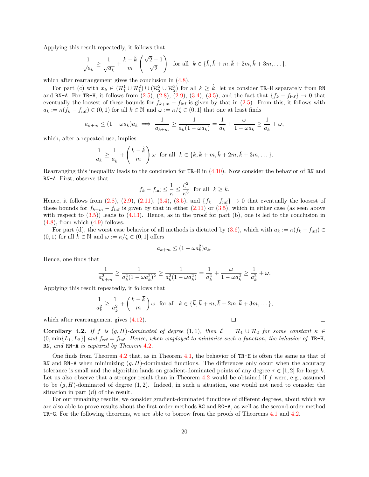Applying this result repeatedly, it follows that

$$
\frac{1}{\sqrt{a_k}} \ge \frac{1}{\sqrt{a_k}} + \frac{k - \hat{k}}{m} \left( \frac{\sqrt{2} - 1}{\sqrt{2}} \right) \text{ for all } k \in \{\hat{k}, \hat{k} + m, \hat{k} + 2m, \hat{k} + 3m, \dots\},\
$$

which after rearrangement gives the conclusion in  $(4.8)$ .

For part (c) with  $x_k \in (\mathcal{R}_1^1 \cup \mathcal{R}_1^2) \cup (\mathcal{R}_2^2 \cup \mathcal{R}_2^3)$  for all  $k \geq \hat{k}$ , let us consider TR-H separately from RN and RN-A. For TR-H, it follows from [\(2.5\)](#page-7-5), [\(2.8\)](#page-8-3), [\(2.9\)](#page-8-4), [\(3.4\)](#page-12-2), [\(3.5\)](#page-12-3), and the fact that  $\{f_k - f_{\text{inf}}\} \to 0$  that eventually the loosest of these bounds for  $f_{k+m} - f_{\text{inf}}$  is given by that in [\(2.5\)](#page-7-5). From this, it follows with  $a_k := \kappa (f_k - f_{\text{inf}}) \in (0, 1)$  for all  $k \in \mathbb{N}$  and  $\omega := \kappa/\zeta \in (0, 1]$  that one at least finds

$$
a_{k+m} \le (1 - \omega a_k)a_k \implies \frac{1}{a_{k+m}} \ge \frac{1}{a_k(1 - \omega a_k)} = \frac{1}{a_k} + \frac{\omega}{1 - \omega a_k} \ge \frac{1}{a_k} + \omega,
$$

which, after a repeated use, implies

$$
\frac{1}{a_k} \ge \frac{1}{a_{\hat{k}}} + \left(\frac{k-\hat{k}}{m}\right)\omega \text{ for all } k \in \{\hat{k}, \hat{k}+m, \hat{k}+2m, \hat{k}+3m, \dots\}.
$$

Rearranging this inequality leads to the conclusion for TR-H in [\(4.10\)](#page-18-1). Now consider the behavior of RN and RN-A. First, observe that

$$
f_k - f_{\text{inf}} \le \frac{1}{\kappa} \le \frac{\zeta^2}{\kappa^3}
$$
 for all  $k \ge \overline{k}$ .

Hence, it follows from  $(2.8)$ ,  $(2.9)$ ,  $(2.11)$ ,  $(3.4)$ ,  $(3.5)$ , and  $\{f_k - f_{\text{inf}}\} \to 0$  that eventually the loosest of these bounds for  $f_{k+m} - f_{\text{inf}}$  is given by that in either [\(2.11\)](#page-9-3) or [\(3.5\)](#page-12-3), which in either case (as seen above with respect to  $(3.5)$ ) leads to  $(4.13)$ . Hence, as in the proof for part (b), one is led to the conclusion in  $(4.8)$ , from which  $(4.9)$  follows.

For part (d), the worst case behavior of all methods is dictated by [\(3.6\)](#page-12-4), which with  $a_k := \kappa (f_k - f_{\text{inf}}) \in$  $(0, 1)$  for all  $k \in \mathbb{N}$  and  $\omega := \kappa/\zeta \in (0, 1]$  offers

$$
a_{k+m} \le (1 - \omega a_k^2) a_k.
$$

Hence, one finds that

$$
\frac{1}{a_{k+m}^2} \ge \frac{1}{a_k^2(1 - \omega a_k^2)^2} \ge \frac{1}{a_k^2(1 - \omega a_k^2)} = \frac{1}{a_k^2} + \frac{\omega}{1 - \omega a_k^2} \ge \frac{1}{a_k^2} + \omega.
$$

Applying this result repeatedly, it follows that

$$
\frac{1}{a_k^2} \ge \frac{1}{a_{\overline{k}}^2} + \left(\frac{k-\overline{k}}{m}\right)\omega \quad \text{for all} \quad k \in \{\overline{k}, \overline{k}+m, \overline{k}+2m, \overline{k}+3m, \dots\},
$$

 $\Box$ 

 $\Box$ 

which after rearrangement gives [\(4.12\)](#page-18-3).

**Corollary 4.2.** If f is  $(g, H)$ -dominated of degree  $(1, 1)$ , then  $\mathcal{L} = \mathcal{R}_1 \cup \mathcal{R}_2$  for some constant  $\kappa \in$  $(0, \min\{L_1, L_2\}]$  and  $f_{\text{ref}} = f_{\text{inf}}$ . Hence, when employed to minimize such a function, the behavior of TR-H, RN, and RN-A is captured by Theorem [4](#page-17-2).2.

One finds from Theorem [4.2](#page-17-2) that, as in Theorem [4.1,](#page-15-3) the behavior of TR-H is often the same as that of RN and RN-A when minimizing  $(g, H)$ -dominated functions. The differences only occur when the accuracy tolerance is small and the algorithm lands on gradient-dominated points of any degree  $\tau \in [1,2]$  for large k. Let us also observe that a stronger result than in Theorem [4.2](#page-17-2) would be obtained if  $f$  were, e.g., assumed to be  $(g, H)$ -dominated of degree  $(1, 2)$ . Indeed, in such a situation, one would not need to consider the situation in part (d) of the result.

<span id="page-19-0"></span>For our remaining results, we consider gradient-dominated functions of different degrees, about which we are also able to prove results about the first-order methods RG and RG-A, as well as the second-order method TR-G. For the following theorems, we are able to borrow from the proofs of Theorems [4.1](#page-15-3) and [4.2.](#page-17-2)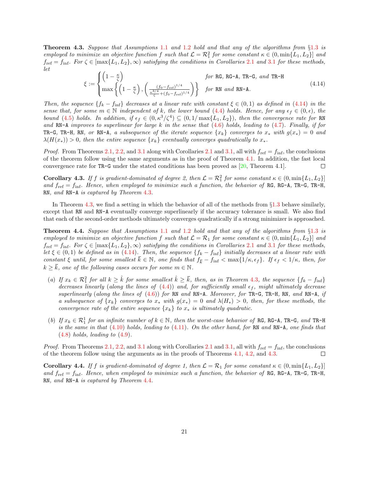**Theorem 4.3.** Suppose that Assumptions [1](#page-4-3).1 and 1.2 hold and that any of the algorithms from  $\S1.3$  is employed to minimize an objective function f such that  $\mathcal{L} = \mathcal{R}_1^2$  for some constant  $\kappa \in (0, \min\{L_1, L_2\}]$  and  $f_{\text{ref}} = f_{\text{inf}}$ . For  $\zeta \in [\max\{L_1, L_2\}, \infty)$  $\zeta \in [\max\{L_1, L_2\}, \infty)$  $\zeta \in [\max\{L_1, L_2\}, \infty)$  satisfying the conditions in Corollaries 2.1 and [3](#page-13-0).1 for these methods, let

<span id="page-20-0"></span>
$$
\xi := \begin{cases} \left(1 - \frac{\kappa}{\zeta}\right) & \text{for RG, RG-A, TR-G, and TR-H} \\ \max\left\{\left(1 - \frac{\kappa}{\zeta}\right), \left(\frac{\left(f_0 - f_{\text{ref}}\right)^{1/4}}{\frac{\kappa^{3/4} + \left(f_0 - f_{\text{ref}}\right)^{1/4}}{\zeta}\right)\right\} & \text{for RN and RN-A.} \end{cases}
$$
(4.14)

Then, the sequence  ${f_k - f_{\text{inf}}}$  decreases at a linear rate with constant  $\xi \in (0,1)$  as defined in [\(4.14\)](#page-20-0) in the sense that, for some  $m \in \mathbb{N}$  independent of k, the lower bound [\(4.4\)](#page-16-1) holds. Hence, for any  $\epsilon_f \in (0, \epsilon)$ , the bound [\(4.5\)](#page-16-2) holds. In addition, if  $\epsilon_f \in (0, \kappa^3/\zeta^4) \subseteq (0, 1/\max\{L_1, L_2\})$ , then the convergence rate for RN and RN-A improves to superlinear for large k in the sense that  $(4.6)$  holds, leading to  $(4.7)$ . Finally, if for TR-G, TR-H, RN, or RN-A, a subsequence of the iterate sequence  $\{x_k\}$  converges to  $x_*$  with  $g(x_*) = 0$  and  $\lambda(H(x_*)) > 0$ , then the entire sequence  $\{x_k\}$  eventually converges quadratically to  $x_*$ .

*Proof.* From Theorems [2.1,](#page-7-7) [2.2,](#page-8-5) and [3.1](#page-12-6) along with Corollaries [2.1](#page-10-0) and [3.1,](#page-13-0) all with  $f_{\text{ref}} = f_{\text{inf}}$ , the conclusions of the theorem follow using the same arguments as in the proof of Theorem [4.1.](#page-15-3) In addition, the fast local convergence rate for TR-G under the stated conditions has been proved as [\[20,](#page-28-12) Theorem 4.1].  $\Box$ 

**Corollary 4.3.** If f is gradient-dominated of degree 2, then  $\mathcal{L} = \mathcal{R}_1^2$  for some constant  $\kappa \in (0, \min\{L_1, L_2\}]$ and  $f_{\text{ref}} = f_{\text{inf}}$ . Hence, when employed to minimize such a function, the behavior of RG, RG-A, TR-G, TR-H, RN, and RN-A is captured by Theorem [4](#page-19-0).3.

In Theorem [4.3,](#page-19-0) we find a setting in which the behavior of all of the methods from  $\S1.3$  $\S1.3$  behave similarly, except that RN and RN-A eventually converge superlinearly if the accuracy tolerance is small. We also find that each of the second-order methods ultimately converges quadratically if a strong minimizer is approached.

<span id="page-20-1"></span>Theorem 4.4. Suppose that Assumptions [1](#page-4-0).1 and [1](#page-4-1).2 hold and that any of the algorithms from §[1](#page-4-3).3 is employed to minimize an objective function f such that  $\mathcal{L} = \mathcal{R}_1$  for some constant  $\kappa \in (0, \min\{L_1, L_2\})$  and  $f_{\text{ref}} = f_{\text{inf}}$ . For  $\zeta \in [\max\{L_1, L_2\}, \infty)$  $\zeta \in [\max\{L_1, L_2\}, \infty)$  $\zeta \in [\max\{L_1, L_2\}, \infty)$  satisfying the conditions in Corollaries 2.1 and [3](#page-13-0).1 for these methods, let  $\xi \in (0,1)$  be defined as in [\(4.14\)](#page-20-0). Then, the sequence  $\{f_k - f_{\text{inf}}\}$  initially decreases at a linear rate with constant  $\xi$  until, for some smallest  $\overline{k} \in \mathbb{N}$ , one finds that  $f_{\overline{k}} - f_{\inf} < \max\{1/\kappa, \epsilon_f\}$ . If  $\epsilon_f < 1/\kappa$ , then, for  $k \geq \overline{k}$ , one of the following cases occurs for some  $m \in \mathbb{N}$ .

- (a) If  $x_k \in \mathcal{R}_1^2$  for all  $k \geq \hat{k}$  for some smallest  $\hat{k} \geq \bar{k}$ , then, as in Theorem [4](#page-19-0).3, the sequence  $\{f_k f_{\text{inf}}\}$ decreases linearly (along the lines of  $(4.4)$ ) and, for sufficiently small  $\epsilon_f$ , might ultimately decrease superlinearly (along the lines of  $(4.6)$ ) for RN and RN-A. Moreover, for TR-G, TR-H, RN, and RN-A, if a subsequence of  $\{x_k\}$  converges to  $x_*$  with  $g(x_*) = 0$  and  $\lambda(H_*) > 0$ , then, for these methods, the convergence rate of the entire sequence  $\{x_k\}$  to  $x_*$  is ultimately quadratic.
- (b) If  $x_k \in \mathcal{R}_1^1$  for an infinite number of  $k \in \mathbb{N}$ , then the worst-case behavior of RG, RG-A, TR-G, and TR-H is the same in that  $(4.10)$  holds, leading to  $(4.11)$ . On the other hand, for RN and RN-A, one finds that  $(4.8)$  holds, leading to  $(4.9)$ .

*Proof.* From Theorems [2.1,](#page-7-7) [2.2,](#page-8-5) and [3.1](#page-12-6) along with Corollaries [2.1](#page-10-0) and [3.1,](#page-13-0) all with  $f_{\text{ref}} = f_{\text{inf}}$ , the conclusions of the theorem follow using the arguments as in the proofs of Theorems [4.1,](#page-15-3) [4.2,](#page-17-2) and [4.3.](#page-19-0)  $\Box$ 

**Corollary 4.4.** If f is gradient-dominated of degree 1, then  $\mathcal{L} = \mathcal{R}_1$  for some constant  $\kappa \in (0, \min\{L_1, L_2\})$ and  $f_{\text{ref}} = f_{\text{inf}}$ . Hence, when employed to minimize such a function, the behavior of RG, RG-A, TR-G, TR-H, RN, and RN-A is captured by Theorem [4](#page-20-1).4.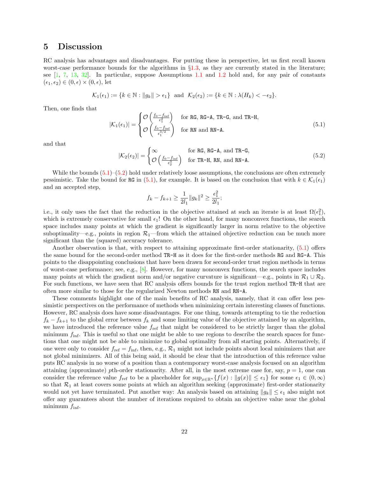#### <span id="page-21-0"></span>5 Discussion

RC analysis has advantages and disadvantages. For putting these in perspective, let us first recall known worst-case performance bounds for the algorithms in  $\S1.3$ , as they are currently stated in the literature; see [\[1,](#page-27-0) [7,](#page-28-0) [13,](#page-28-10) [32\]](#page-29-1). In particular, suppose Assumptions [1.1](#page-4-0) and [1.2](#page-4-1) hold and, for any pair of constants  $(\epsilon_1, \epsilon_2) \in (0, \epsilon) \times (0, \epsilon)$ , let

$$
\mathcal{K}_1(\epsilon_1) := \{k \in \mathbb{N} : \|g_k\| > \epsilon_1\} \text{ and } \mathcal{K}_2(\epsilon_2) := \{k \in \mathbb{N} : \lambda(H_k) < -\epsilon_2\}.
$$

Then, one finds that

<span id="page-21-1"></span>
$$
|\mathcal{K}_1(\epsilon_1)| = \begin{cases} \mathcal{O}\left(\frac{f_0 - f_{\text{inf}}}{\epsilon_1^2}\right) & \text{for RG, RG-A, TR-G, and TR-H,} \\ \mathcal{O}\left(\frac{f_0 - f_{\text{inf}}}{\epsilon_1^{3/2}}\right) & \text{for RN and RN-A.} \end{cases}
$$
(5.1)

and that

<span id="page-21-2"></span>
$$
|\mathcal{K}_2(\epsilon_2)| = \begin{cases} \infty & \text{for RG, RG-A, and TR-G,} \\ \mathcal{O}\left(\frac{f_0 - f_{\text{inf}}}{\epsilon_2^3}\right) & \text{for TR-H, RN, and RN-A.} \end{cases}
$$
(5.2)

While the bounds  $(5.1)$ – $(5.2)$  hold under relatively loose assumptions, the conclusions are often extremely pessimistic. Take the bound for RG in [\(5.1\)](#page-21-1), for example. It is based on the conclusion that with  $k \in \mathcal{K}_1(\epsilon_1)$ and an accepted step,

$$
f_k - f_{k+1} \ge \frac{1}{2l_1} ||g_k||^2 \ge \frac{\epsilon_1^2}{2l_1};
$$

i.e., it only uses the fact that the reduction in the objective attained at such an iterate is at least  $\Omega(\epsilon_1^2)$ , which is extremely conservative for small  $\epsilon_1$ ! On the other hand, for many nonconvex functions, the search space includes many points at which the gradient is significantly larger in norm relative to the objective suboptimality—e.g., points in region  $\mathcal{R}_1$ —from which the attained objective reduction can be much more significant than the (squared) accuracy tolerance.

Another observation is that, with respect to attaining approximate first-order stationarity, [\(5.1\)](#page-21-1) offers the same bound for the second-order method TR-H as it does for the first-order methods RG and RG-A. This points to the disappointing conclusions that have been drawn for second-order trust region methods in terms of worst-case performance; see, e.g., [\[8\]](#page-28-7). However, for many nonconvex functions, the search space includes many points at which the gradient norm and/or negative curvature is significant—e.g., points in  $\mathcal{R}_1 \cup \mathcal{R}_2$ . For such functions, we have seen that RC analysis offers bounds for the trust region method TR-H that are often more similar to those for the regularized Newton methods RN and RN-A.

These comments highlight one of the main benefits of RC analysis, namely, that it can offer less pessimistic perspectives on the performance of methods when minimizing certain interesting classes of functions. However, RC analysis does have some disadvantages. For one thing, towards attempting to tie the reduction  $f_k - f_{k+1}$  to the global error between  $f_k$  and some limiting value of the objective attained by an algorithm, we have introduced the reference value  $f_{ref}$  that might be considered to be strictly larger than the global minimum  $f_{\text{inf}}$ . This is useful so that one might be able to use regions to describe the search spaces for functions that one might not be able to minimize to global optimality from all starting points. Alternatively, if one were only to consider  $f_{\text{ref}} = f_{\text{inf}}$ , then, e.g.,  $\mathcal{R}_1$  might not include points about local minimizers that are not global minimizers. All of this being said, it should be clear that the introduction of this reference value puts RC analysis in no worse of a position than a contemporary worst-case analysis focused on an algorithm attaining (approximate) pth-order stationarity. After all, in the most extreme case for, say,  $p = 1$ , one can consider the reference value  $f_{ref}$  to be a placeholder for  $\sup_{x \in \mathbb{R}^n} \{f(x) : ||g(x)|| \leq \epsilon_1\}$  for some  $\epsilon_1 \in (0, \infty)$ so that  $\mathcal{R}_1$  at least covers some points at which an algorithm seeking (approximate) first-order stationarity would not yet have terminated. Put another way: An analysis based on attaining  $||g_k|| \leq \epsilon_1$  also might not offer any guarantees about the number of iterations required to obtain an objective value near the global minimum  $f_{\text{inf}}$ .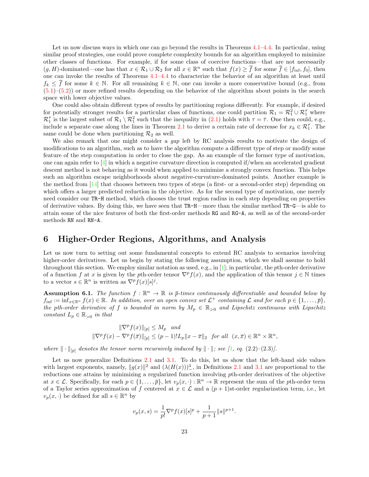Let us now discuss ways in which one can go beyond the results in Theorems [4.1–](#page-15-3)[4.4.](#page-20-1) In particular, using similar proof strategies, one could prove complete complexity bounds for an algorithm employed to minimize other classes of functions. For example, if for some class of coercive functions—that are not necessarily  $(g, H)$ -dominated—one has that  $x \in \mathcal{R}_1 \cup \mathcal{R}_2$  for all  $x \in \mathbb{R}^n$  such that  $f(x) \geq \overline{f}$  for some  $\overline{f} \in [f_{\text{inf}}, f_0]$ , then one can invoke the results of Theorems [4.1–](#page-15-3)[4.4](#page-20-1) to characterize the behavior of an algorithm at least until  $f_k \leq \overline{f}$  for some  $k \in \mathbb{N}$ . For all remaining  $k \in \mathbb{N}$ , one can invoke a more conservative bound (e.g., from  $(5.1)$ – $(5.2)$ ) or more refined results depending on the behavior of the algorithm about points in the search space with lower objective values.

One could also obtain different types of results by partitioning regions differently. For example, if desired for potentially stronger results for a particular class of functions, one could partition  $\mathcal{R}_1 = \mathcal{R}_1^2 \cup \mathcal{R}_1^{\bar{\tau}}$  where  $\mathcal{R}_1^{\bar{\tau}}$  is the largest subset of  $\mathcal{R}_1 \setminus \mathcal{R}_1^2$  such that the inequality in  $(2.1)$  holds with  $\tau = \bar{\tau}$ . One then could, e.g., include a separate case along the lines in Theorem [2.1](#page-7-7) to derive a certain rate of decrease for  $x_k \in \mathcal{R}_1^{\bar{\tau}}$ . The same could be done when partitioning  $\mathcal{R}_2$  as well.

We also remark that one might consider a gap left by RC analysis results to motivate the design of modifications to an algorithm, such as to have the algorithm compute a different type of step or modify some feature of the step computation in order to close the gap. As an example of the former type of motivation, one can again refer to  $[4]$  in which a negative curvature direction is computed if/when an accelerated gradient descent method is not behaving as it would when applied to minimize a strongly convex function. This helps such an algorithm escape neighborhoods about negative-curvature-dominated points. Another example is the method from [\[14\]](#page-28-13) that chooses between two types of steps (a first- or a second-order step) depending on which offers a larger predicted reduction in the objective. As for the second type of motivation, one merely need consider our TR-H method, which chooses the trust region radius in each step depending on properties of derivative values. By doing this, we have seen that TR-H—more than the similar method TR-G—is able to attain some of the nice features of both the first-order methods RG and RG-A, as well as of the second-order methods RN and RN-A.

#### <span id="page-22-0"></span>6 Higher-Order Regions, Algorithms, and Analysis

Let us now turn to setting out some fundamental concepts to extend RC analysis to scenarios involving higher-order derivatives. Let us begin by stating the following assumption, which we shall assume to hold throughout this section. We employ similar notation as used, e.g., in  $[1]$ ; in particular, the *pth*-order derivative of a function f at x is given by the pth-order tensor  $\nabla^p f(x)$ , and the application of this tensor  $j \in \mathbb{N}$  times to a vector  $s \in \mathbb{R}^n$  is written as  $\nabla^p f(x)[s]^j$ .

<span id="page-22-1"></span>**Assumption 6.1.** The function  $f : \mathbb{R}^n \to \mathbb{R}$  is  $\bar{p}$ -times continuously differentiable and bounded below by  $f_{\text{inf}} := \inf_{x \in \mathbb{R}^n} f(x) \in \mathbb{R}$ . In addition, over an open convex set  $\mathcal{L}^+$  containing  $\mathcal L$  and for each  $p \in \{1, \ldots, \bar{p}\},$ the pth-order derivative of f is bounded in norm by  $M_p \in \mathbb{R}_{>0}$  and Lipschitz continuous with Lipschitz constant  $L_p \in \mathbb{R}_{>0}$  in that

$$
\|\nabla^p f(x)\|_{[p]} \le M_p \quad and
$$
  

$$
\|\nabla^p f(x) - \nabla^p f(\overline{x})\|_{[p]} \le (p-1)! L_p \|x - \overline{x}\|_2 \quad \text{for all} \quad (x, \overline{x}) \in \mathbb{R}^n \times \mathbb{R}^n,
$$

where  $\|\cdot\|_{[p]}$  denotes the tensor norm recursively induced by  $\|\cdot\|$ ; see [\[1,](#page-27-0) eq. (2.2)–(2.3)].

Let us now generalize Definitions [2.1](#page-6-2) and [3.1.](#page-11-3) To do this, let us show that the left-hand side values with largest exponents, namely,  $||g(x)||^2$  and  $(\lambda(H(x)))^3$ , in Definitions [2.1](#page-6-2) and [3.1](#page-11-3) are proportional to the reductions one attains by minimizing a regularized function involving pth-order derivatives of the objective at  $x \in \mathcal{L}$ . Specifically, for each  $p \in \{1, \ldots, \bar{p}\}$ , let  $v_p(x, \cdot) : \mathbb{R}^n \to \mathbb{R}$  represent the sum of the pth-order term of a Taylor series approximation of f centered at  $x \in \mathcal{L}$  and a  $(p+1)$ st-order regularization term, i.e., let  $v_p(x, \cdot)$  be defined for all  $s \in \mathbb{R}^n$  by

$$
v_p(x,s) = \frac{1}{p!} \nabla^p f(x)[s]^p + \frac{1}{p+1} ||s||^{p+1}.
$$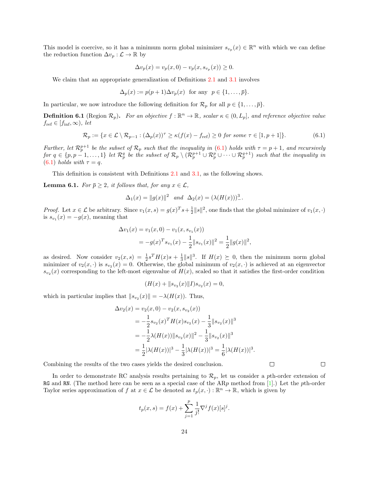This model is coercive, so it has a minimum norm global minimizer  $s_{v_p}(x) \in \mathbb{R}^n$  with which we can define the reduction function  $\Delta v_p : \mathcal{L} \to \mathbb{R}$  by

$$
\Delta v_p(x) = v_p(x, 0) - v_p(x, s_{v_p}(x)) \ge 0.
$$

We claim that an appropriate generalization of Definitions [2.1](#page-6-2) and [3.1](#page-11-3) involves

$$
\Delta_p(x) := p(p+1)\Delta v_p(x) \text{ for any } p \in \{1, \dots, \overline{p}\}.
$$

In particular, we now introduce the following definition for  $\mathcal{R}_p$  for all  $p \in \{1, \ldots, \overline{p}\}.$ 

**Definition 6.1** (Region  $\mathcal{R}_p$ ). For an objective  $f : \mathbb{R}^n \to \mathbb{R}$ , scalar  $\kappa \in (0, L_p]$ , and reference objective value  $f_{\text{ref}} \in [f_{\text{inf}}, \infty)$ , let

<span id="page-23-0"></span>
$$
\mathcal{R}_p := \{ x \in \mathcal{L} \setminus \mathcal{R}_{p-1} : (\Delta_p(x))^{\tau} \ge \kappa (f(x) - f_{\text{ref}}) \ge 0 \text{ for some } \tau \in [1, p+1] \}. \tag{6.1}
$$

Further, let  $\mathcal{R}_p^{p+1}$  be the subset of  $\mathcal{R}_p$  such that the inequality in [\(6.1\)](#page-23-0) holds with  $\tau = p+1$ , and recursively  $for\ q\in\{p,p-1,\ldots,1\}\ \mathit{let}\ \mathcal{R}_p^q\ \mathit{be the subset of}\ \mathcal{R}_p\setminus(\mathcal{R}_p^{p+1}\cup\mathcal{R}_p^p\cup\cdots\cup\mathcal{R}_p^{q+1})\ \mathit{such that the inequality}\ \mathit{in}$ [\(6.1\)](#page-23-0) holds with  $\tau = q$ .

This definition is consistent with Definitions [2.1](#page-6-2) and [3.1,](#page-11-3) as the following shows.

**Lemma 6.1.** For  $\bar{p} \geq 2$ , it follows that, for any  $x \in \mathcal{L}$ ,

$$
\Delta_1(x) = ||g(x)||^2
$$
 and  $\Delta_2(x) = (\lambda(H(x)))^3$ .

*Proof.* Let  $x \in \mathcal{L}$  be arbitrary. Since  $v_1(x, s) = g(x)^T s + \frac{1}{2} ||s||^2$ , one finds that the global minimizer of  $v_1(x, \cdot)$ is  $s_{v_1}(x) = -g(x)$ , meaning that

$$
\Delta v_1(x) = v_1(x, 0) - v_1(x, s_{v_1}(x))
$$
  
=  $-g(x)^T s_{v_1}(x) - \frac{1}{2} ||s_{v_1}(x)||^2 = \frac{1}{2} ||g(x)||^2$ ,

as desired. Now consider  $v_2(x,s) = \frac{1}{2}s^T H(x)s + \frac{1}{3}||s||^3$ . If  $H(x) \succeq 0$ , then the minimum norm global minimizer of  $v_2(x, \cdot)$  is  $s_{v_2}(x) = 0$ . Otherwise, the global minimum of  $v_2(x, \cdot)$  is achieved at an eigenvector  $s_{v_2}(x)$  corresponding to the left-most eigenvalue of  $H(x)$ , scaled so that it satisfies the first-order condition

$$
(H(x) + ||s_{v_2}(x)||I)s_{v_2}(x) = 0,
$$

which in particular implies that  $||s_{v_2}(x)|| = -\lambda(H(x))$ . Thus,

$$
\Delta v_2(x) = v_2(x, 0) - v_2(x, s_{v_2}(x))
$$
  
=  $-\frac{1}{2} s_{v_2}(x)^T H(x) s_{v_2}(x) - \frac{1}{3} ||s_{v_2}(x)||^3$   
=  $-\frac{1}{2} \lambda (H(x)) ||s_{v_2}(x)||^2 - \frac{1}{3} ||s_{v_2}(x)||^3$   
=  $\frac{1}{2} |\lambda (H(x))|^3 - \frac{1}{3} |\lambda (H(x))|^3 = \frac{1}{6} |\lambda (H(x))|^3$ .

Combining the results of the two cases yields the desired conclusion.

In order to demonstrate RC analysis results pertaining to  $\mathcal{R}_p$ , let us consider a pth-order extension of RG and RN. (The method here can be seen as a special case of the  $ARp$  method from [\[1\]](#page-27-0).) Let the pth-order Taylor series approximation of f at  $x \in \mathcal{L}$  be denoted as  $t_p(x, \cdot) : \mathbb{R}^n \to \mathbb{R}$ , which is given by

$$
t_p(x, s) = f(x) + \sum_{j=1}^p \frac{1}{j!} \nabla^j f(x) [s]^j.
$$

 $\Box$ 

 $\Box$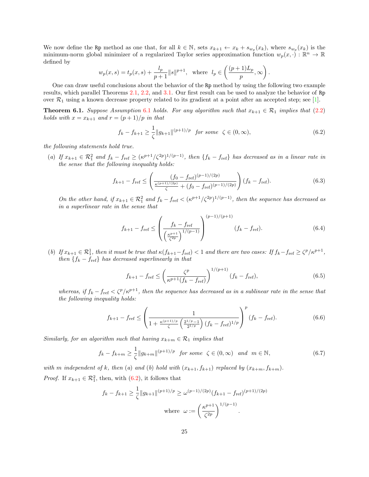We now define the Rp method as one that, for all  $k \in \mathbb{N}$ , sets  $x_{k+1} \leftarrow x_k + s_{w_p}(x_k)$ , where  $s_{w_p}(x_k)$  is the minimum-norm global minimizer of a regularized Taylor series approximation function  $w_p(x, \cdot) : \mathbb{R}^n \to \mathbb{R}$ defined by

$$
w_p(x, s) = t_p(x, s) + \frac{l_p}{p+1} ||s||^{p+1}
$$
, where  $l_p \in \left(\frac{(p+1)L_p}{p}, \infty\right)$ .

One can draw useful conclusions about the behavior of the Rp method by using the following two example results, which parallel Theorems [2.1,](#page-7-7) [2.2,](#page-8-5) and [3.1.](#page-12-6) Our first result can be used to analyze the behavior of Rp over  $\mathcal{R}_1$  using a known decrease property related to its gradient at a point after an accepted step; see [\[1\]](#page-27-0).

**Theorem [6](#page-22-1).1.** Suppose Assumption 6.1 holds. For any algorithm such that  $x_{k+1} \in \mathcal{R}_1$  implies that [\(2.2\)](#page-7-1) holds with  $x = x_{k+1}$  and  $r = (p+1)/p$  in that

<span id="page-24-0"></span>
$$
f_k - f_{k+1} \ge \frac{1}{\zeta} \|g_{k+1}\|^{(p+1)/p} \quad \text{for some} \quad \zeta \in (0, \infty), \tag{6.2}
$$

the following statements hold true.

(a) If  $x_{k+1} \in \mathcal{R}_1^2$  and  $f_k - f_{\text{ref}} \geq (\kappa^{p+1}/\zeta^{2p})^{1/(p-1)}$ , then  $\{f_k - f_{\text{ref}}\}$  has decreased as in a linear rate in the sense that the following inequality holds:

<span id="page-24-1"></span>
$$
f_{k+1} - f_{\text{ref}} \le \left(\frac{(f_0 - f_{\text{ref}})^{(p-1)/(2p)}}{\zeta + (f_0 - f_{\text{ref}})^{(p-1)/(2p)}}\right) (f_k - f_{\text{ref}}). \tag{6.3}
$$

On the other hand, if  $x_{k+1} \in \mathcal{R}_1^2$  and  $f_k - f_{\text{ref}} < (\kappa^{p+1}/\zeta^{2p})^{1/(p-1)}$ , then the sequence has decreased as in a superlinear rate in the sense that

<span id="page-24-2"></span>
$$
f_{k+1} - f_{\text{ref}} \le \left(\frac{f_k - f_{\text{ref}}}{\left(\frac{\kappa^{p+1}}{\zeta^{2p}}\right)^{1/(p-1)}}\right)^{(p-1)/(p+1)} (f_k - f_{\text{ref}}). \tag{6.4}
$$

(b) If  $x_{k+1} \in \mathcal{R}_1^1$ , then it must be true that  $\kappa(f_{k+1} - f_{\text{ref}}) < 1$  and there are two cases: If  $f_k - f_{\text{ref}} \geq \zeta^p/\kappa^{p+1}$ , then  $\{f_k - f_{\text{ref}}\}$  has decreased superlinearly in that

<span id="page-24-3"></span>
$$
f_{k+1} - f_{\text{ref}} \le \left(\frac{\zeta^p}{\kappa^{p+1}(f_k - f_{\text{ref}})}\right)^{1/(p+1)} (f_k - f_{\text{ref}}), \tag{6.5}
$$

whereas, if  $f_k - f_{\text{ref}} < \zeta^p / \kappa^{p+1}$ , then the sequence has decreased as in a sublinear rate in the sense that the following inequality holds:

<span id="page-24-4"></span>
$$
f_{k+1} - f_{\text{ref}} \le \left(\frac{1}{1 + \frac{\kappa^{(p+1)/p}}{\zeta} \left(\frac{2^{1/p} - 1}{2^{1/p}}\right) (f_k - f_{\text{ref}})^{1/p}}\right)^p (f_k - f_{\text{ref}}). \tag{6.6}
$$

Similarly, for an algorithm such that having  $x_{k+m} \in \mathcal{R}_1$  implies that

<span id="page-24-5"></span>
$$
f_k - f_{k+m} \ge \frac{1}{\zeta} \|g_{k+m}\|^{(p+1)/p} \quad \text{for some} \quad \zeta \in (0, \infty) \quad \text{and} \quad m \in \mathbb{N}, \tag{6.7}
$$

with m independent of k, then (a) and (b) hold with  $(x_{k+1}, f_{k+1})$  replaced by  $(x_{k+m}, f_{k+m})$ . *Proof.* If  $x_{k+1} \in \mathcal{R}_1^2$ , then, with [\(6.2\)](#page-24-0), it follows that

$$
f_k - f_{k+1} \ge \frac{1}{\zeta} \|g_{k+1}\|^{(p+1)/p} \ge \omega^{(p-1)/(2p)} (f_{k+1} - f_{\text{ref}})^{(p+1)/(2p)}
$$
  
where  $\omega := \left(\frac{\kappa^{p+1}}{\zeta^{2p}}\right)^{1/(p-1)}$ .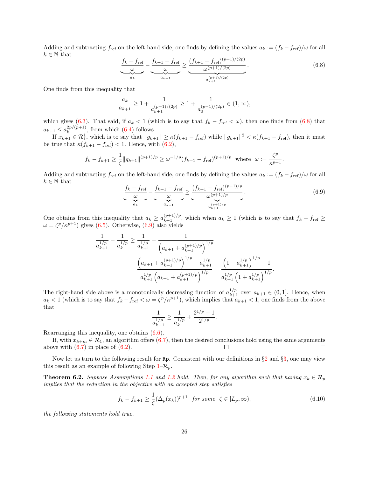Adding and subtracting  $f_{\text{ref}}$  on the left-hand side, one finds by defining the values  $a_k := (f_k - f_{\text{ref}})/\omega$  for all  $k \in \mathbb{N}$  that

<span id="page-25-0"></span>
$$
\underbrace{\frac{f_k - f_{\text{ref}}}{\omega}}_{a_k} - \underbrace{\frac{f_{k+1} - f_{\text{ref}}}{\omega}}_{a_{k+1}} \ge \underbrace{\frac{(f_{k+1} - f_{\text{ref}})^{(p+1)/(2p)}}{\omega^{(p+1)/(2p)}}}_{a_{k+1}^{(p+1)/(2p)}}.
$$
(6.8)

One finds from this inequality that

$$
\frac{a_k}{a_{k+1}} \ge 1 + \frac{1}{a_{k+1}^{(p-1)/(2p)}} \ge 1 + \frac{1}{a_0^{(p-1)/(2p)}} \in (1, \infty),
$$

which gives [\(6.3\)](#page-24-1). That said, if  $a_k < 1$  (which is to say that  $f_k - f_{\text{ref}} < \omega$ ), then one finds from [\(6.8\)](#page-25-0) that  $a_{k+1} \leq a_k^{2p/(p+1)}$  $\binom{2p}{k}$ , from which [\(6.4\)](#page-24-2) follows.

If  $x_{k+1} \in \mathcal{R}_1^1$ , which is to say that  $||g_{k+1}|| \ge \kappa (f_{k+1} - f_{\text{ref}})$  while  $||g_{k+1}||^2 < \kappa (f_{k+1} - f_{\text{ref}})$ , then it must be true that  $\kappa(f_{k+1} - f_{\text{ref}}) < 1$ . Hence, with [\(6.2\)](#page-24-0),

$$
f_k - f_{k+1} \ge \frac{1}{\zeta} \|g_{k+1}\|^{(p+1)/p} \ge \omega^{-1/p} (f_{k+1} - f_{\text{ref}})^{(p+1)/p}
$$
 where  $\omega := \frac{\zeta^p}{\kappa^{p+1}}$ .

Adding and subtracting  $f_{\text{ref}}$  on the left-hand side, one finds by defining the values  $a_k := (f_k - f_{\text{ref}})/\omega$  for all  $k \in \mathbb{N}$  that

<span id="page-25-1"></span>
$$
\underbrace{\frac{f_k - f_{\text{ref}}}{\omega}}_{a_k} - \underbrace{\frac{f_{k+1} - f_{\text{ref}}}{\omega}}_{a_{k+1}} \ge \underbrace{\frac{(f_{k+1} - f_{\text{ref}})^{(p+1)/p}}{\omega^{(p+1)/p}}}_{a_{k+1}^{(p+1)/p}}.
$$
(6.9)

One obtains from this inequality that  $a_k \ge a_{k+1}^{(p+1)/p}$ , which when  $a_k \ge 1$  (which is to say that  $f_k - f_{\text{ref}} \ge$  $\omega = \zeta^p / \kappa^{p+1}$ ) gives [\(6.5\)](#page-24-3). Otherwise, [\(6.9\)](#page-25-1) also yields

$$
\frac{1}{a_{k+1}^{1/p}} - \frac{1}{a_k^{1/p}} \ge \frac{1}{a_{k+1}^{1/p}} - \frac{1}{\left(a_{k+1} + a_{k+1}^{(p+1)/p}\right)^{1/p}} \\
= \frac{\left(a_{k+1} + a_{k+1}^{(p+1)/p}\right)^{1/p} - a_{k+1}^{1/p}}{a_{k+1}^{1/p}\left(a_{k+1} + a_{k+1}^{(p+1)/p}\right)^{1/p}} = \frac{\left(1 + a_{k+1}^{1/p}\right)^{1/p} - 1}{a_{k+1}^{1/p}\left(1 + a_{k+1}^{1/p}\right)^{1/p}}.
$$

The right-hand side above is a monotonically decreasing function of  $a_{k+1}^{1/p}$  over  $a_{k+1} \in (0,1]$ . Hence, when  $a_k < 1$  (which is to say that  $f_k - f_{\text{ref}} < \omega = \zeta^p / \kappa^{p+1}$ ), which implies that  $a_{k+1} < 1$ , one finds from the above that

$$
\frac{1}{a_{k+1}^{1/p}} \ge \frac{1}{a_k^{1/p}} + \frac{2^{1/p} - 1}{2^{1/p}}.
$$

Rearranging this inequality, one obtains [\(6.6\)](#page-24-4).

If, with  $x_{k+m} \in \mathcal{R}_1$ , an algorithm offers [\(6.7\)](#page-24-5), then the desired conclusions hold using the same arguments above with  $(6.7)$  in place of  $(6.2)$ .  $\Box$ П

Now let us turn to the following result for Rp. Consistent with our definitions in  $\S 2$  $\S 2$  and  $\S 3$ , one may view this result as an example of following Step  $1-\mathcal{R}_p$ .

<span id="page-25-3"></span>**Theorem 6.2.** Suppose Assumptions [1.1](#page-4-0) and [1.2](#page-4-1) hold. Then, for any algorithm such that having  $x_k \in \mathcal{R}_p$ implies that the reduction in the objective with an accepted step satisfies

<span id="page-25-2"></span>
$$
f_k - f_{k+1} \ge \frac{1}{\zeta} (\Delta_p(x_k))^{p+1} \quad \text{for some} \quad \zeta \in [L_p, \infty), \tag{6.10}
$$

the following statements hold true.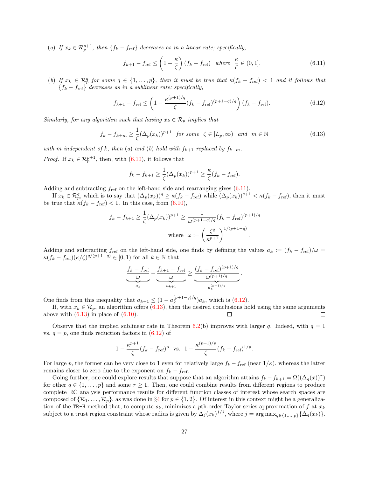(a) If  $x_k \in \mathcal{R}_p^{p+1}$ , then  $\{f_k - f_{\text{ref}}\}$  decreases as in a linear rate; specifically,

<span id="page-26-0"></span>
$$
f_{k+1} - f_{\text{ref}} \le \left(1 - \frac{\kappa}{\zeta}\right)(f_k - f_{\text{ref}}) \quad \text{where} \quad \frac{\kappa}{\zeta} \in (0, 1]. \tag{6.11}
$$

(b) If  $x_k \in \mathcal{R}_p^q$  for some  $q \in \{1,\ldots,p\}$ , then it must be true that  $\kappa(f_k - f_{\text{ref}}) < 1$  and it follows that  ${f_k - f_{ref}}$  decreases as in a sublinear rate; specifically,

<span id="page-26-1"></span>
$$
f_{k+1} - f_{\text{ref}} \le \left(1 - \frac{\kappa^{(p+1)/q}}{\zeta} (f_k - f_{\text{ref}})^{(p+1-q)/q}\right) (f_k - f_{\text{ref}}). \tag{6.12}
$$

Similarly, for any algorithm such that having  $x_k \in \mathcal{R}_p$  implies that

<span id="page-26-2"></span>
$$
f_k - f_{k+m} \ge \frac{1}{\zeta} (\Delta_p(x_k))^{p+1} \quad \text{for some} \quad \zeta \in [L_p, \infty) \quad \text{and} \quad m \in \mathbb{N} \tag{6.13}
$$

with m independent of k, then (a) and (b) hold with  $f_{k+1}$  replaced by  $f_{k+m}$ . *Proof.* If  $x_k \in \mathcal{R}_p^{p+1}$ , then, with [\(6.10\)](#page-25-2), it follows that

$$
f_k - f_{k+1} \ge \frac{1}{\zeta} (\Delta_p(x_k))^{p+1} \ge \frac{\kappa}{\zeta} (f_k - f_{\text{ref}}).
$$

Adding and subtracting  $f_{ref}$  on the left-hand side and rearranging gives  $(6.11)$ .

If  $x_k \in \mathcal{R}_p^q$ , which is to say that  $(\Delta_p(x_k))^q \ge \kappa(f_k - f_{\text{ref}})$  while  $(\Delta_p(x_k))^{q+1} < \kappa(f_k - f_{\text{ref}})$ , then it must be true that  $\kappa (f_k - f_{\text{ref}}) < 1$ . In this case, from [\(6.10\)](#page-25-2),

$$
f_k - f_{k+1} \ge \frac{1}{\zeta} (\Delta_p(x_k))^{p+1} \ge \frac{1}{\omega^{(p+1-q)/q}} (f_k - f_{\text{ref}})^{(p+1)/q}
$$
  
where  $\omega := \left(\frac{\zeta^q}{\kappa^{p+1}}\right)^{1/(p+1-q)}$ .

Adding and subtracting  $f_{ref}$  on the left-hand side, one finds by defining the values  $a_k := (f_k - f_{ref})/\omega$  $\kappa(f_k - f_{\text{ref}})(\kappa/\zeta)^{q/(p+1-q)} \in [0,1)$  for all  $k \in \mathbb{N}$  that

$$
\underbrace{\frac{f_k - f_{\text{ref}}}{\omega}}_{a_k} - \underbrace{\frac{f_{k+1} - f_{\text{ref}}}{\omega}}_{a_{k+1}} \geq \underbrace{\frac{(f_k - f_{\text{ref}})^{(p+1)/q}}{\omega^{(p+1)/q}}}_{a_k^{(p+1)/q}}.
$$

One finds from this inequality that  $a_{k+1} \leq (1 - a_k^{(p+1-q)/q})$  $\binom{(p+1-q)/q}{k}a_k$ , which is  $(6.12)$ .

If, with  $x_k \in \mathcal{R}_p$ , an algorithm offers [\(6.13\)](#page-26-2), then the desired conclusions hold using the same arguments above with  $(6.13)$  in place of  $(6.10)$ . □

Observe that the implied sublinear rate in Theorem [6.2\(](#page-25-3)b) improves with larger q. Indeed, with  $q = 1$ vs.  $q = p$ , one finds reduction factors in  $(6.12)$  of

$$
1 - \frac{\kappa^{p+1}}{\zeta} (f_k - f_{\text{ref}})^p \text{ vs. } 1 - \frac{\kappa^{(p+1)/p}}{\zeta} (f_k - f_{\text{ref}})^{1/p}.
$$

For large p, the former can be very close to 1 even for relatively large  $f_k - f_{\text{ref}}$  (near  $1/\kappa$ ), whereas the latter remains closer to zero due to the exponent on  $f_k - f_{\text{ref}}$ .

Going further, one could explore results that suppose that an algorithm attains  $f_k - f_{k+1} = \Omega((\Delta_q(x))^{\tau})$ for other  $q \in \{1, \ldots, p\}$  and some  $\tau \geq 1$ . Then, one could combine results from different regions to produce complete RC analysis performance results for different function classes of interest whose search spaces are composed of  $\{\mathcal{R}_1,\ldots,\mathcal{R}_p\}$ , as was done in §[4](#page-14-0) for  $p \in \{1,2\}$ . Of interest in this context might be a generalization of the TR-H method that, to compute  $s_k$ , minimizes a pth-order Taylor series approximation of f at  $x_k$ subject to a trust region constraint whose radius is given by  $\Delta_j(x_k)^{1/j}$ , where  $j = \arg \max_{q \in \{1, ..., p\}} {\Delta_q(x_k)}$ .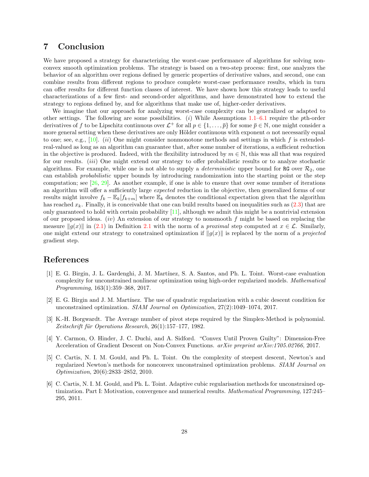### <span id="page-27-5"></span>7 Conclusion

We have proposed a strategy for characterizing the worst-case performance of algorithms for solving nonconvex smooth optimization problems. The strategy is based on a two-step process: first, one analyzes the behavior of an algorithm over regions defined by generic properties of derivative values, and second, one can combine results from different regions to produce complete worst-case performance results, which in turn can offer results for different function classes of interest. We have shown how this strategy leads to useful characterizations of a few first- and second-order algorithms, and have demonstrated how to extend the strategy to regions defined by, and for algorithms that make use of, higher-order derivatives.

We imagine that our approach for analyzing worst-case complexity can be generalized or adapted to other settings. The following are some possibilities.  $(i)$  While Assumptions [1.1–](#page-4-0)[6.1](#page-22-1) require the pth-order derivatives of f to be Lipschitz continuous over  $\mathcal{L}^+$  for all  $p \in \{1, \ldots, \bar{p}\}$  for some  $\bar{p} \in \mathbb{N}$ , one might consider a more general setting when these derivatives are only Hölder continuous with exponent  $\alpha$  not necessarily equal to one; see, e.g.,  $[10]$ . (ii) One might consider nonmonotone methods and settings in which f is extendedreal-valued as long as an algorithm can guarantee that, after some number of iterations, a sufficient reduction in the objective is produced. Indeed, with the flexibility introduced by  $m \in \mathbb{N}$ , this was all that was required for our results. (iii) One might extend our strategy to offer probabilistic results or to analyze stochastic algorithms. For example, while one is not able to supply a *deterministic* upper bound for RG over  $\mathcal{R}_2$ , one can establish probabilistic upper bounds by introducing randomization into the starting point or the step computation; see  $[26, 29]$  $[26, 29]$  $[26, 29]$ . As another example, if one is able to ensure that over some number of iterations an algorithm will offer a sufficiently large *expected* reduction in the objective, then generalized forms of our results might involve  $f_k - \mathbb{E}_k[f_{k+m}]$  where  $\mathbb{E}_k$  denotes the conditional expectation given that the algorithm has reached  $x_k$ . Finally, it is conceivable that one can build results based on inequalities such as  $(2.3)$  that are only guaranteed to hold with certain probability [\[11\]](#page-28-15), although we admit this might be a nontrivial extension of our proposed ideas. (iv) An extension of our strategy to nonsmooth  $f$  might be based on replacing the measure  $||g(x)||$  in [\(2.1\)](#page-6-1) in Definition [2.1](#page-6-2) with the norm of a *proximal* step computed at  $x \in \mathcal{L}$ . Similarly, one might extend our strategy to constrained optimization if  $\|g(x)\|$  is replaced by the norm of a projected gradient step.

## References

- <span id="page-27-0"></span>[1] E. G. Birgin, J. L. Gardenghi, J. M. Mart´ınez, S. A. Santos, and Ph. L. Toint. Worst-case evaluation complexity for unconstrained nonlinear optimization using high-order regularized models. Mathematical Programming, 163(1):359–368, 2017.
- <span id="page-27-1"></span>[2] E. G. Birgin and J. M. Martínez. The use of quadratic regularization with a cubic descent condition for unconstrained optimization. SIAM Journal on Optimization, 27(2):1049–1074, 2017.
- <span id="page-27-3"></span>[3] K.-H. Borgwardt. The Average number of pivot steps required by the Simplex-Method is polynomial. Zeitschrift für Operations Research,  $26(1):157-177$ , 1982.
- <span id="page-27-4"></span>[4] Y. Carmon, O. Hinder, J. C. Duchi, and A. Sidford. "Convex Until Proven Guilty": Dimension-Free Acceleration of Gradient Descent on Non-Convex Functions. arXiv preprint arXiv:1705.02766, 2017.
- <span id="page-27-2"></span>[5] C. Cartis, N. I. M. Gould, and Ph. L. Toint. On the complexity of steepest descent, Newton's and regularized Newton's methods for nonconvex unconstrained optimization problems. SIAM Journal on Optimization, 20(6):2833–2852, 2010.
- <span id="page-27-6"></span>[6] C. Cartis, N. I. M. Gould, and Ph. L. Toint. Adaptive cubic regularisation methods for unconstrained optimization. Part I: Motivation, convergence and numerical results. Mathematical Programming, 127:245-295, 2011.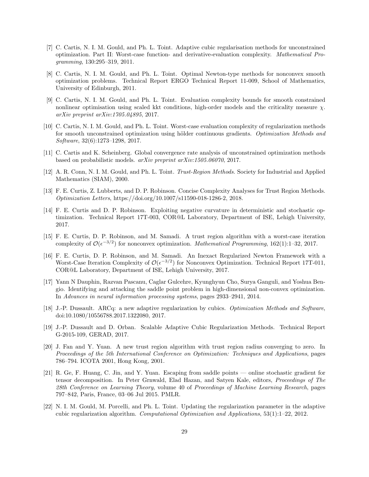- <span id="page-28-0"></span>[7] C. Cartis, N. I. M. Gould, and Ph. L. Toint. Adaptive cubic regularisation methods for unconstrained optimization. Part II: Worst-case function- and derivative-evaluation complexity. Mathematical Programming, 130:295–319, 2011.
- <span id="page-28-7"></span>[8] C. Cartis, N. I. M. Gould, and Ph. L. Toint. Optimal Newton-type methods for nonconvex smooth optimization problems. Technical Report ERGO Technical Report 11-009, School of Mathematics, University of Edinburgh, 2011.
- <span id="page-28-1"></span>[9] C. Cartis, N. I. M. Gould, and Ph. L. Toint. Evaluation complexity bounds for smooth constrained nonlinear optimisation using scaled kkt conditions, high-order models and the criticality measure  $\chi$ . arXiv preprint arXiv:1705.04895, 2017.
- <span id="page-28-14"></span>[10] C. Cartis, N. I. M. Gould, and Ph. L. Toint. Worst-case evaluation complexity of regularization methods for smooth unconstrained optimization using hölder continuous gradients. Optimization Methods and Software, 32(6):1273–1298, 2017.
- <span id="page-28-15"></span>[11] C. Cartis and K. Scheinberg. Global convergence rate analysis of unconstrained optimization methods based on probabilistic models. arXiv preprint arXiv:1505.06070, 2017.
- <span id="page-28-11"></span>[12] A. R. Conn, N. I. M. Gould, and Ph. L. Toint. Trust-Region Methods. Society for Industrial and Applied Mathematics (SIAM), 2000.
- <span id="page-28-10"></span>[13] F. E. Curtis, Z. Lubberts, and D. P. Robinson. Concise Complexity Analyses for Trust Region Methods. Optimization Letters, https://doi.org/10.1007/s11590-018-1286-2, 2018.
- <span id="page-28-13"></span>[14] F. E. Curtis and D. P. Robinson. Exploiting negative curvature in deterministic and stochastic optimization. Technical Report 17T-003, COR@L Laboratory, Department of ISE, Lehigh University, 2017.
- <span id="page-28-2"></span>[15] F. E. Curtis, D. P. Robinson, and M. Samadi. A trust region algorithm with a worst-case iteration complexity of  $\mathcal{O}(\epsilon^{-3/2})$  for nonconvex optimization. *Mathematical Programming*, 162(1):1–32, 2017.
- <span id="page-28-3"></span>[16] F. E. Curtis, D. P. Robinson, and M. Samadi. An Inexact Regularized Newton Framework with a Worst-Case Iteration Complexity of  $\mathcal{O}(\epsilon^{-3/2})$  for Nonconvex Optimization. Technical Report 17T-011, COR@L Laboratory, Department of ISE, Lehigh University, 2017.
- <span id="page-28-8"></span>[17] Yann N Dauphin, Razvan Pascanu, Caglar Gulcehre, Kyunghyun Cho, Surya Ganguli, and Yoshua Bengio. Identifying and attacking the saddle point problem in high-dimensional non-convex optimization. In Advances in neural information processing systems, pages 2933–2941, 2014.
- <span id="page-28-4"></span>[18] J.-P. Dussault. ARCq: a new adaptive regularization by cubics. Optimization Methods and Software, doi:10.1080/10556788.2017.1322080, 2017.
- <span id="page-28-5"></span>[19] J.-P. Dussault and D. Orban. Scalable Adaptive Cubic Regularization Methods. Technical Report G-2015-109, GERAD, 2017.
- <span id="page-28-12"></span>[20] J. Fan and Y. Yuan. A new trust region algorithm with trust region radius converging to zero. In Proceedings of the 5th International Conference on Optimization: Techniques and Applications, pages 786–794. ICOTA 2001, Hong Kong, 2001.
- <span id="page-28-9"></span>[21] R. Ge, F. Huang, C. Jin, and Y. Yuan. Escaping from saddle points — online stochastic gradient for tensor decomposition. In Peter Grnwald, Elad Hazan, and Satyen Kale, editors, Proceedings of The 28th Conference on Learning Theory, volume 40 of Proceedings of Machine Learning Research, pages 797–842, Paris, France, 03–06 Jul 2015. PMLR.
- <span id="page-28-6"></span>[22] N. I. M. Gould, M. Porcelli, and Ph. L. Toint. Updating the regularization parameter in the adaptive cubic regularization algorithm. Computational Optimization and Applications, 53(1):1–22, 2012.